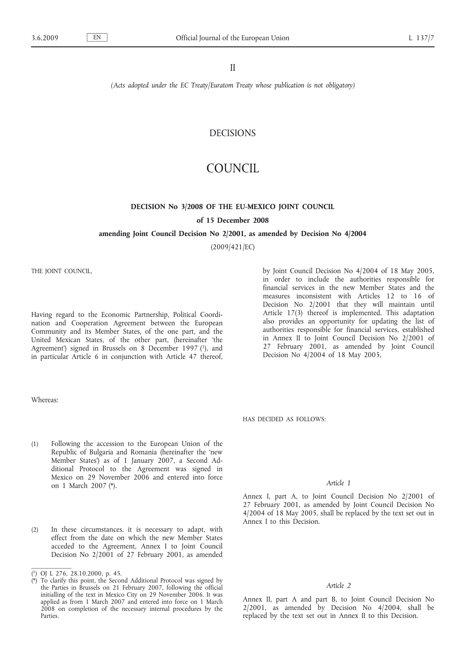#### II

*(Acts adopted under the EC Treaty/Euratom Treaty whose publication is not obligatory)*

## DECISIONS

# COUNCIL

# **DECISION No 3/2008 OF THE EU-MEXICO JOINT COUNCIL of 15 December 2008**

#### **amending Joint Council Decision No 2/2001, as amended by Decision No 4/2004**

(2009/421/EC)

THE JOINT COUNCIL,

Having regard to the Economic Partnership, Political Coordination and Cooperation Agreement between the European Community and its Member States, of the one part, and the United Mexican States, of the other part, (hereinafter 'the Agreement') signed in Brussels on 8 December 1997 (1), and in particular Article 6 in conjunction with Article 47 thereof,

Whereas:

- (1) Following the accession to the European Union of the Republic of Bulgaria and Romania (hereinafter the 'new Member States') as of 1 January 2007, a Second Additional Protocol to the Agreement was signed in Mexico on 29 November 2006 and entered into force on 1 March 2007 (\*).
- (2) In these circumstances, it is necessary to adapt, with effect from the date on which the new Member States acceded to the Agreement, Annex I to Joint Council Decision No 2/2001 of 27 February 2001, as amended

by Joint Council Decision No 4/2004 of 18 May 2005, in order to include the authorities responsible for financial services in the new Member States and the measures inconsistent with Articles 12 to 16 of Decision No 2/2001 that they will maintain until Article 17(3) thereof is implemented. This adaptation also provides an opportunity for updating the list of authorities responsible for financial services, established in Annex II to Joint Council Decision No 2/2001 of 27 February 2001, as amended by Joint Council Decision No 4/2004 of 18 May 2005,

HAS DECIDED AS FOLLOWS:

#### *Article 1*

Annex I, part A, to Joint Council Decision No 2/2001 of 27 February 2001, as amended by Joint Council Decision No 4/2004 of 18 May 2005, shall be replaced by the text set out in Annex I to this Decision.

#### *Article 2*

Annex II, part A and part B, to Joint Council Decision No 2/2001, as amended by Decision No 4/2004, shall be replaced by the text set out in Annex II to this Decision.

<sup>(</sup> 1) OJ L 276, 28.10.2000, p. 45.

<sup>(\*)</sup> To clarify this point, the Second Additional Protocol was signed by the Parties in Brussels on 21 February 2007, following the official initialling of the text in Mexico City on 29 November 2006. It was applied as from 1 March 2007 and entered into force on 1 March 2008 on completion of the necessary internal procedures by the Parties.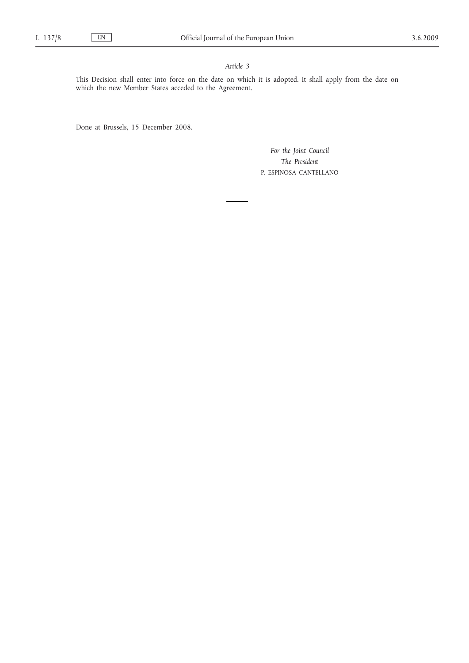#### *Article 3*

This Decision shall enter into force on the date on which it is adopted. It shall apply from the date on which the new Member States acceded to the Agreement.

Done at Brussels, 15 December 2008.

*For the Joint Council The President* P. ESPINOSA CANTELLANO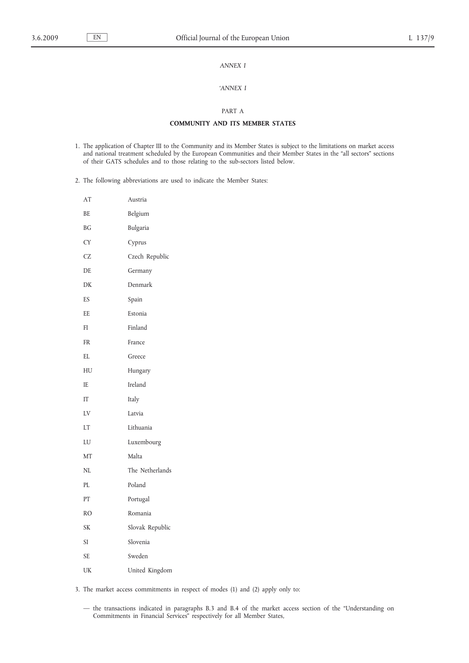#### *ANNEX I*

#### *'ANNEX I*

#### PART A

#### **COMMUNITY AND ITS MEMBER STATES**

- 1. The application of Chapter III to the Community and its Member States is subject to the limitations on market access and national treatment scheduled by the European Communities and their Member States in the "all sectors" sections of their GATS schedules and to those relating to the sub-sectors listed below.
- 2. The following abbreviations are used to indicate the Member States:

| AT        | Austria         |
|-----------|-----------------|
| BE        | Belgium         |
| <b>BG</b> | Bulgaria        |
| <b>CY</b> | Cyprus          |
| <b>CZ</b> | Czech Republic  |
| DE        | Germany         |
| DK        | Denmark         |
| <b>ES</b> | Spain           |
| EE        | Estonia         |
| FI        | Finland         |
| <b>FR</b> | France          |
| EL        | Greece          |
| HU        | Hungary         |
| IE        | Ireland         |
| IT        | Italy           |
| LV        | Latvia          |
| LT        | Lithuania       |
| LU        | Luxembourg      |
| MT        | Malta           |
| NL        | The Netherlands |
| PL        | Poland          |
| PT        | Portugal        |
| <b>RO</b> | Romania         |
| <b>SK</b> | Slovak Republic |
| SI        | Slovenia        |
| <b>SE</b> | Sweden          |
| UK        | United Kingdom  |

3. The market access commitments in respect of modes (1) and (2) apply only to:

— the transactions indicated in paragraphs B.3 and B.4 of the market access section of the "Understanding on Commitments in Financial Services" respectively for all Member States,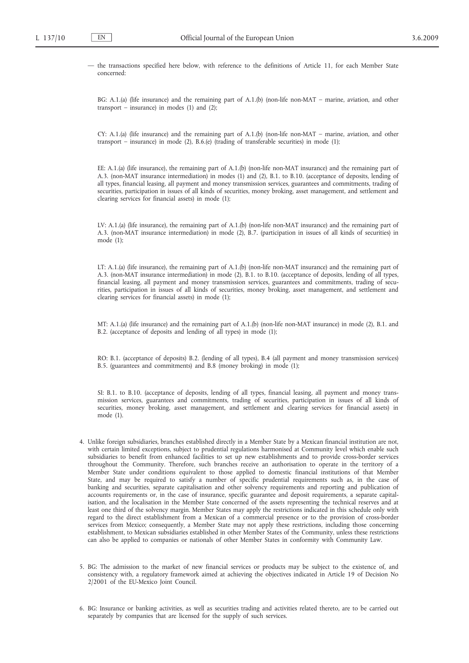— the transactions specified here below, with reference to the definitions of Article 11, for each Member State concerned:

BG: A.1.(a) (life insurance) and the remaining part of A.1.(b) (non-life non-MAT – marine, aviation, and other transport – insurance) in modes  $(1)$  and  $(2)$ ;

CY: A.1.(a) (life insurance) and the remaining part of A.1.(b) (non-life non-MAT – marine, aviation, and other transport – insurance) in mode (2), B.6.(e) (trading of transferable securities) in mode (1);

EE: A.1.(a) (life insurance), the remaining part of A.1.(b) (non-life non-MAT insurance) and the remaining part of A.3. (non-MAT insurance intermediation) in modes (1) and (2), B.1. to B.10. (acceptance of deposits, lending of all types, financial leasing, all payment and money transmission services, guarantees and commitments, trading of securities, participation in issues of all kinds of securities, money broking, asset management, and settlement and clearing services for financial assets) in mode (1);

LV: A.1.(a) (life insurance), the remaining part of A.1.(b) (non-life non-MAT insurance) and the remaining part of A.3. (non-MAT insurance intermediation) in mode (2), B.7. (participation in issues of all kinds of securities) in mode (1);

LT: A.1.(a) (life insurance), the remaining part of A.1.(b) (non-life non-MAT insurance) and the remaining part of A.3. (non-MAT insurance intermediation) in mode (2), B.1. to B.10. (acceptance of deposits, lending of all types, financial leasing, all payment and money transmission services, guarantees and commitments, trading of securities, participation in issues of all kinds of securities, money broking, asset management, and settlement and clearing services for financial assets) in mode (1);

MT: A.1.(a) (life insurance) and the remaining part of A.1.(b) (non-life non-MAT insurance) in mode (2), B.1. and B.2. (acceptance of deposits and lending of all types) in mode (1);

RO: B.1. (acceptance of deposits) B.2. (lending of all types), B.4 (all payment and money transmission services) B.5. (guarantees and commitments) and B.8 (money broking) in mode (1);

SI: B.1. to B.10. (acceptance of deposits, lending of all types, financial leasing, all payment and money transmission services, guarantees and commitments, trading of securities, participation in issues of all kinds of securities, money broking, asset management, and settlement and clearing services for financial assets) in mode (1).

- 4. Unlike foreign subsidiaries, branches established directly in a Member State by a Mexican financial institution are not, with certain limited exceptions, subject to prudential regulations harmonised at Community level which enable such subsidiaries to benefit from enhanced facilities to set up new establishments and to provide cross-border services throughout the Community. Therefore, such branches receive an authorisation to operate in the territory of a Member State under conditions equivalent to those applied to domestic financial institutions of that Member State, and may be required to satisfy a number of specific prudential requirements such as, in the case of banking and securities, separate capitalisation and other solvency requirements and reporting and publication of accounts requirements or, in the case of insurance, specific guarantee and deposit requirements, a separate capitalisation, and the localisation in the Member State concerned of the assets representing the technical reserves and at least one third of the solvency margin. Member States may apply the restrictions indicated in this schedule only with regard to the direct establishment from a Mexican of a commercial presence or to the provision of cross-border services from Mexico; consequently, a Member State may not apply these restrictions, including those concerning establishment, to Mexican subsidiaries established in other Member States of the Community, unless these restrictions can also be applied to companies or nationals of other Member States in conformity with Community Law.
- 5. BG: The admission to the market of new financial services or products may be subject to the existence of, and consistency with, a regulatory framework aimed at achieving the objectives indicated in Article 19 of Decision No 2/2001 of the EU-Mexico Joint Council.
- 6. BG: Insurance or banking activities, as well as securities trading and activities related thereto, are to be carried out separately by companies that are licensed for the supply of such services.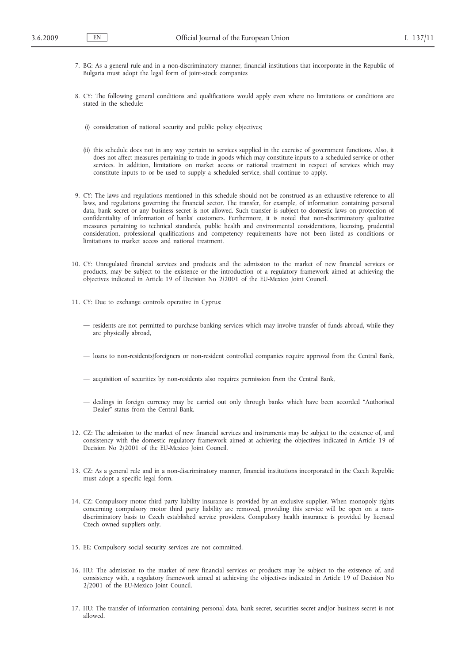- 7. BG: As a general rule and in a non-discriminatory manner, financial institutions that incorporate in the Republic of Bulgaria must adopt the legal form of joint-stock companies
- 8. CY: The following general conditions and qualifications would apply even where no limitations or conditions are stated in the schedule:
	- (i) consideration of national security and public policy objectives;
	- (ii) this schedule does not in any way pertain to services supplied in the exercise of government functions. Also, it does not affect measures pertaining to trade in goods which may constitute inputs to a scheduled service or other services. In addition, limitations on market access or national treatment in respect of services which may constitute inputs to or be used to supply a scheduled service, shall continue to apply.
- 9. CY: The laws and regulations mentioned in this schedule should not be construed as an exhaustive reference to all laws, and regulations governing the financial sector. The transfer, for example, of information containing personal data, bank secret or any business secret is not allowed. Such transfer is subject to domestic laws on protection of confidentiality of information of banks' customers. Furthermore, it is noted that non-discriminatory qualitative measures pertaining to technical standards, public health and environmental considerations, licensing, prudential consideration, professional qualifications and competency requirements have not been listed as conditions or limitations to market access and national treatment.
- 10. CY: Unregulated financial services and products and the admission to the market of new financial services or products, may be subject to the existence or the introduction of a regulatory framework aimed at achieving the objectives indicated in Article 19 of Decision No 2/2001 of the EU-Mexico Joint Council.
- 11. CY: Due to exchange controls operative in Cyprus:
	- residents are not permitted to purchase banking services which may involve transfer of funds abroad, while they are physically abroad,
	- loans to non-residents/foreigners or non-resident controlled companies require approval from the Central Bank,
	- acquisition of securities by non-residents also requires permission from the Central Bank,
	- dealings in foreign currency may be carried out only through banks which have been accorded "Authorised Dealer" status from the Central Bank.
- 12. CZ: The admission to the market of new financial services and instruments may be subject to the existence of, and consistency with the domestic regulatory framework aimed at achieving the objectives indicated in Article 19 of Decision No 2/2001 of the EU-Mexico Joint Council.
- 13. CZ: As a general rule and in a non-discriminatory manner, financial institutions incorporated in the Czech Republic must adopt a specific legal form.
- 14. CZ: Compulsory motor third party liability insurance is provided by an exclusive supplier. When monopoly rights concerning compulsory motor third party liability are removed, providing this service will be open on a nondiscriminatory basis to Czech established service providers. Compulsory health insurance is provided by licensed Czech owned suppliers only.
- 15. EE: Compulsory social security services are not committed.
- 16. HU: The admission to the market of new financial services or products may be subject to the existence of, and consistency with, a regulatory framework aimed at achieving the objectives indicated in Article 19 of Decision No 2/2001 of the EU-Mexico Joint Council.
- 17. HU: The transfer of information containing personal data, bank secret, securities secret and/or business secret is not allowed.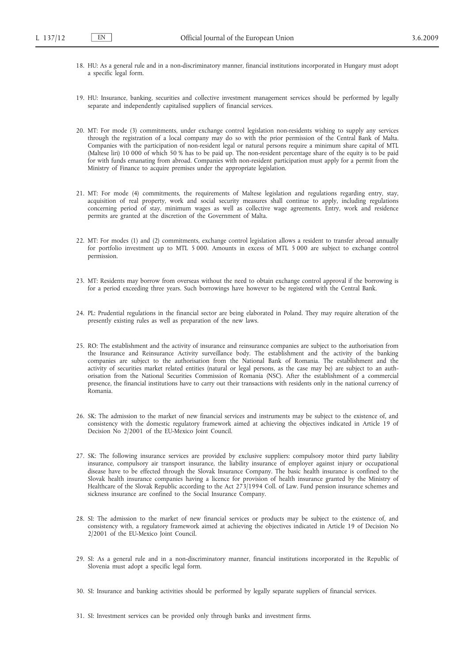- 18. HU: As a general rule and in a non-discriminatory manner, financial institutions incorporated in Hungary must adopt a specific legal form.
- 19. HU: Insurance, banking, securities and collective investment management services should be performed by legally separate and independently capitalised suppliers of financial services.
- 20. MT: For mode (3) commitments, under exchange control legislation non-residents wishing to supply any services through the registration of a local company may do so with the prior permission of the Central Bank of Malta. Companies with the participation of non-resident legal or natural persons require a minimum share capital of MTL (Maltese liri) 10 000 of which 50 % has to be paid up. The non-resident percentage share of the equity is to be paid for with funds emanating from abroad. Companies with non-resident participation must apply for a permit from the Ministry of Finance to acquire premises under the appropriate legislation.
- 21. MT: For mode (4) commitments, the requirements of Maltese legislation and regulations regarding entry, stay, acquisition of real property, work and social security measures shall continue to apply, including regulations concerning period of stay, minimum wages as well as collective wage agreements. Entry, work and residence permits are granted at the discretion of the Government of Malta.
- 22. MT: For modes (1) and (2) commitments, exchange control legislation allows a resident to transfer abroad annually for portfolio investment up to MTL 5 000. Amounts in excess of MTL 5 000 are subject to exchange control permission.
- 23. MT: Residents may borrow from overseas without the need to obtain exchange control approval if the borrowing is for a period exceeding three years. Such borrowings have however to be registered with the Central Bank.
- 24. PL: Prudential regulations in the financial sector are being elaborated in Poland. They may require alteration of the presently existing rules as well as preparation of the new laws.
- 25. RO: The establishment and the activity of insurance and reinsurance companies are subject to the authorisation from the Insurance and Reinsurance Activity surveillance body. The establishment and the activity of the banking companies are subject to the authorisation from the National Bank of Romania. The establishment and the activity of securities market related entities (natural or legal persons, as the case may be) are subject to an authorisation from the National Securities Commission of Romania (NSC). After the establishment of a commercial presence, the financial institutions have to carry out their transactions with residents only in the national currency of Romania.
- 26. SK: The admission to the market of new financial services and instruments may be subject to the existence of, and consistency with the domestic regulatory framework aimed at achieving the objectives indicated in Article 19 of Decision No 2/2001 of the EU-Mexico Joint Council.
- 27. SK: The following insurance services are provided by exclusive suppliers: compulsory motor third party liability insurance, compulsory air transport insurance, the liability insurance of employer against injury or occupational disease have to be effected through the Slovak Insurance Company. The basic health insurance is confined to the Slovak health insurance companies having a licence for provision of health insurance granted by the Ministry of Healthcare of the Slovak Republic according to the Act 273/1994 Coll. of Law. Fund pension insurance schemes and sickness insurance are confined to the Social Insurance Company.
- 28. SI: The admission to the market of new financial services or products may be subject to the existence of, and consistency with, a regulatory framework aimed at achieving the objectives indicated in Article 19 of Decision No 2/2001 of the EU-Mexico Joint Council.
- 29. SI: As a general rule and in a non-discriminatory manner, financial institutions incorporated in the Republic of Slovenia must adopt a specific legal form.
- 30. SI: Insurance and banking activities should be performed by legally separate suppliers of financial services.
- 31. SI: Investment services can be provided only through banks and investment firms.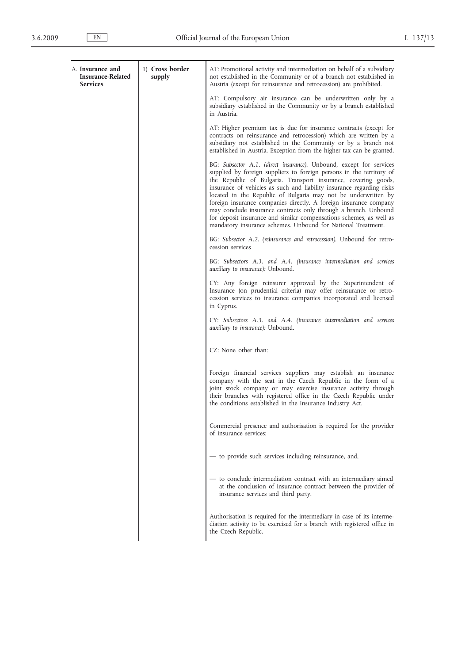| A. Insurance and<br><b>Insurance-Related</b><br><b>Services</b> | 1) Cross border<br>supply | AT: Promotional activity and intermediation on behalf of a subsidiary<br>not established in the Community or of a branch not established in<br>Austria (except for reinsurance and retrocession) are prohibited.                                                                                                                                                                                                                                                                                                                                                                                                                        |
|-----------------------------------------------------------------|---------------------------|-----------------------------------------------------------------------------------------------------------------------------------------------------------------------------------------------------------------------------------------------------------------------------------------------------------------------------------------------------------------------------------------------------------------------------------------------------------------------------------------------------------------------------------------------------------------------------------------------------------------------------------------|
|                                                                 |                           | AT: Compulsory air insurance can be underwritten only by a<br>subsidiary established in the Community or by a branch established<br>in Austria.                                                                                                                                                                                                                                                                                                                                                                                                                                                                                         |
|                                                                 |                           | AT: Higher premium tax is due for insurance contracts (except for<br>contracts on reinsurance and retrocession) which are written by a<br>subsidiary not established in the Community or by a branch not<br>established in Austria. Exception from the higher tax can be granted.                                                                                                                                                                                                                                                                                                                                                       |
|                                                                 |                           | BG: Subsector A.1. (direct insurance). Unbound, except for services<br>supplied by foreign suppliers to foreign persons in the territory of<br>the Republic of Bulgaria. Transport insurance, covering goods,<br>insurance of vehicles as such and liability insurance regarding risks<br>located in the Republic of Bulgaria may not be underwritten by<br>foreign insurance companies directly. A foreign insurance company<br>may conclude insurance contracts only through a branch. Unbound<br>for deposit insurance and similar compensations schemes, as well as<br>mandatory insurance schemes. Unbound for National Treatment. |
|                                                                 |                           | BG: Subsector A.2. (reinsurance and retrocession). Unbound for retro-<br>cession services                                                                                                                                                                                                                                                                                                                                                                                                                                                                                                                                               |
|                                                                 |                           | BG: Subsectors A.3. and A.4. (insurance intermediation and services<br>auxiliary to insurance): Unbound.                                                                                                                                                                                                                                                                                                                                                                                                                                                                                                                                |
|                                                                 |                           | CY: Any foreign reinsurer approved by the Superintendent of<br>Insurance (on prudential criteria) may offer reinsurance or retro-<br>cession services to insurance companies incorporated and licensed<br>in Cyprus.                                                                                                                                                                                                                                                                                                                                                                                                                    |
|                                                                 |                           | CY: Subsectors A.3. and A.4. (insurance intermediation and services<br><i>auxiliary</i> to <i>insurance</i> ): Unbound.                                                                                                                                                                                                                                                                                                                                                                                                                                                                                                                 |
|                                                                 |                           | CZ: None other than:                                                                                                                                                                                                                                                                                                                                                                                                                                                                                                                                                                                                                    |
|                                                                 |                           | Foreign financial services suppliers may establish an insurance<br>company with the seat in the Czech Republic in the form of a<br>joint stock company or may exercise insurance activity through<br>their branches with registered office in the Czech Republic under<br>the conditions established in the Insurance Industry Act.                                                                                                                                                                                                                                                                                                     |
|                                                                 |                           | Commercial presence and authorisation is required for the provider<br>of insurance services:                                                                                                                                                                                                                                                                                                                                                                                                                                                                                                                                            |
|                                                                 |                           | - to provide such services including reinsurance, and,                                                                                                                                                                                                                                                                                                                                                                                                                                                                                                                                                                                  |
|                                                                 |                           | - to conclude intermediation contract with an intermediary aimed<br>at the conclusion of insurance contract between the provider of<br>insurance services and third party.                                                                                                                                                                                                                                                                                                                                                                                                                                                              |
|                                                                 |                           | Authorisation is required for the intermediary in case of its interme-<br>diation activity to be exercised for a branch with registered office in<br>the Czech Republic.                                                                                                                                                                                                                                                                                                                                                                                                                                                                |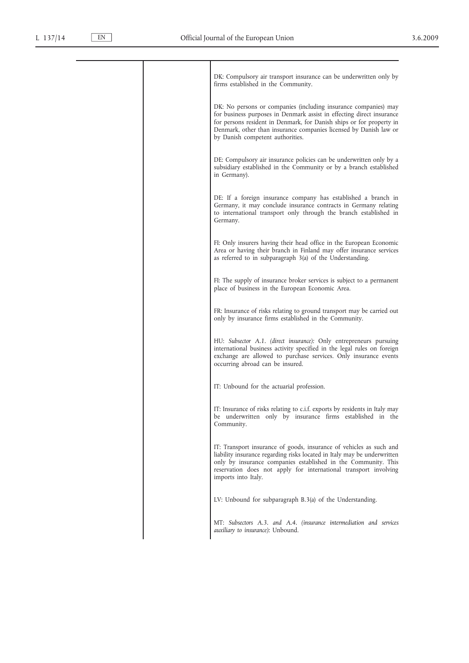|  | DK: Compulsory air transport insurance can be underwritten only by<br>firms established in the Community.                                                                                                                                                                                                                 |
|--|---------------------------------------------------------------------------------------------------------------------------------------------------------------------------------------------------------------------------------------------------------------------------------------------------------------------------|
|  | DK: No persons or companies (including insurance companies) may<br>for business purposes in Denmark assist in effecting direct insurance<br>for persons resident in Denmark, for Danish ships or for property in<br>Denmark, other than insurance companies licensed by Danish law or<br>by Danish competent authorities. |
|  | DE: Compulsory air insurance policies can be underwritten only by a<br>subsidiary established in the Community or by a branch established<br>in Germany).                                                                                                                                                                 |
|  | DE: If a foreign insurance company has established a branch in<br>Germany, it may conclude insurance contracts in Germany relating<br>to international transport only through the branch established in<br>Germany.                                                                                                       |
|  | FI: Only insurers having their head office in the European Economic<br>Area or having their branch in Finland may offer insurance services<br>as referred to in subparagraph 3(a) of the Understanding.                                                                                                                   |
|  | FI: The supply of insurance broker services is subject to a permanent<br>place of business in the European Economic Area.                                                                                                                                                                                                 |
|  | FR: Insurance of risks relating to ground transport may be carried out<br>only by insurance firms established in the Community.                                                                                                                                                                                           |
|  | HU: Subsector A.1. (direct insurance): Only entrepreneurs pursuing<br>international business activity specified in the legal rules on foreign<br>exchange are allowed to purchase services. Only insurance events<br>occurring abroad can be insured.                                                                     |
|  | IT: Unbound for the actuarial profession.                                                                                                                                                                                                                                                                                 |
|  | IT: Insurance of risks relating to c.i.f. exports by residents in Italy may<br>be underwritten only by insurance firms established in the<br>Community.                                                                                                                                                                   |
|  | IT: Transport insurance of goods, insurance of vehicles as such and<br>liability insurance regarding risks located in Italy may be underwritten<br>only by insurance companies established in the Community. This<br>reservation does not apply for international transport involving<br>imports into Italy.              |
|  | LV: Unbound for subparagraph B.3(a) of the Understanding.                                                                                                                                                                                                                                                                 |
|  | MT: Subsectors A.3. and A.4. (insurance intermediation and services<br><i>auxiliary to insurance</i> ): Unbound.                                                                                                                                                                                                          |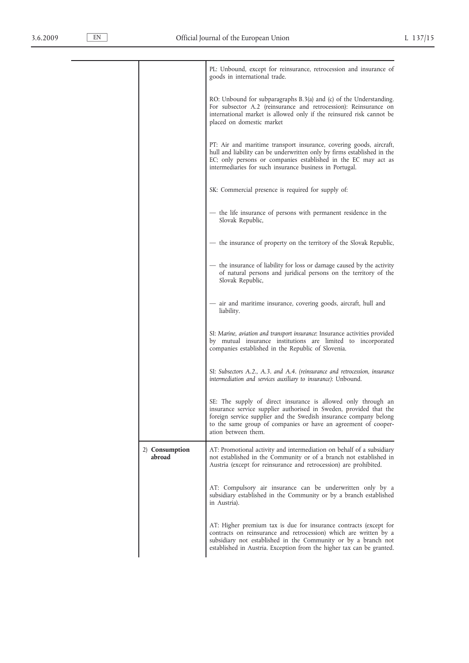|                          | PL: Unbound, except for reinsurance, retrocession and insurance of<br>goods in international trade.                                                                                                                                                                                               |  |
|--------------------------|---------------------------------------------------------------------------------------------------------------------------------------------------------------------------------------------------------------------------------------------------------------------------------------------------|--|
|                          | RO: Unbound for subparagraphs B.3(a) and (c) of the Understanding.<br>For subsector A.2 (reinsurance and retrocession): Reinsurance on<br>international market is allowed only if the reinsured risk cannot be<br>placed on domestic market                                                       |  |
|                          | PT: Air and maritime transport insurance, covering goods, aircraft,<br>hull and liability can be underwritten only by firms established in the<br>EC; only persons or companies established in the EC may act as<br>intermediaries for such insurance business in Portugal.                       |  |
|                          | SK: Commercial presence is required for supply of:                                                                                                                                                                                                                                                |  |
|                          | - the life insurance of persons with permanent residence in the<br>Slovak Republic,                                                                                                                                                                                                               |  |
|                          | — the insurance of property on the territory of the Slovak Republic,                                                                                                                                                                                                                              |  |
|                          | — the insurance of liability for loss or damage caused by the activity<br>of natural persons and juridical persons on the territory of the<br>Slovak Republic,                                                                                                                                    |  |
|                          | — air and maritime insurance, covering goods, aircraft, hull and<br>liability.                                                                                                                                                                                                                    |  |
|                          | SI: Marine, aviation and transport insurance: Insurance activities provided<br>by mutual insurance institutions are limited to incorporated<br>companies established in the Republic of Slovenia.                                                                                                 |  |
|                          | SI: Subsectors A.2., A.3. and A.4. (reinsurance and retrocession, insurance<br>intermediation and services auxiliary to insurance): Unbound.                                                                                                                                                      |  |
|                          | SE: The supply of direct insurance is allowed only through an<br>insurance service supplier authorised in Sweden, provided that the<br>foreign service supplier and the Swedish insurance company belong<br>to the same group of companies or have an agreement of cooper-<br>ation between them. |  |
| 2) Consumption<br>abroad | AT: Promotional activity and intermediation on behalf of a subsidiary<br>not established in the Community or of a branch not established in<br>Austria (except for reinsurance and retrocession) are prohibited.                                                                                  |  |
|                          | AT: Compulsory air insurance can be underwritten only by a<br>subsidiary established in the Community or by a branch established<br>in Austria).                                                                                                                                                  |  |
|                          | AT: Higher premium tax is due for insurance contracts (except for<br>contracts on reinsurance and retrocession) which are written by a<br>subsidiary not established in the Community or by a branch not<br>established in Austria. Exception from the higher tax can be granted.                 |  |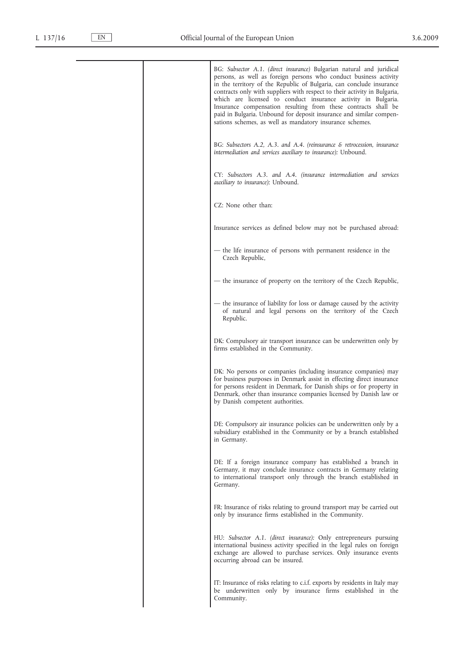| BG: Subsector A.1. (direct insurance) Bulgarian natural and juridical<br>persons, as well as foreign persons who conduct business activity<br>in the territory of the Republic of Bulgaria, can conclude insurance<br>contracts only with suppliers with respect to their activity in Bulgaria,<br>which are licensed to conduct insurance activity in Bulgaria.<br>Insurance compensation resulting from these contracts shall be<br>paid in Bulgaria. Unbound for deposit insurance and similar compen-<br>sations schemes, as well as mandatory insurance schemes. |
|-----------------------------------------------------------------------------------------------------------------------------------------------------------------------------------------------------------------------------------------------------------------------------------------------------------------------------------------------------------------------------------------------------------------------------------------------------------------------------------------------------------------------------------------------------------------------|
| BG: Subsectors A.2, A.3. and A.4. (reinsurance $\&$ retrocession, insurance<br>intermediation and services auxiliary to insurance): Unbound.                                                                                                                                                                                                                                                                                                                                                                                                                          |
| CY: Subsectors A.3. and A.4. (insurance intermediation and services<br>auxiliary to insurance): Unbound.                                                                                                                                                                                                                                                                                                                                                                                                                                                              |
| CZ: None other than:                                                                                                                                                                                                                                                                                                                                                                                                                                                                                                                                                  |
| Insurance services as defined below may not be purchased abroad:                                                                                                                                                                                                                                                                                                                                                                                                                                                                                                      |
| - the life insurance of persons with permanent residence in the<br>Czech Republic,                                                                                                                                                                                                                                                                                                                                                                                                                                                                                    |
| - the insurance of property on the territory of the Czech Republic,                                                                                                                                                                                                                                                                                                                                                                                                                                                                                                   |
| - the insurance of liability for loss or damage caused by the activity<br>of natural and legal persons on the territory of the Czech<br>Republic.                                                                                                                                                                                                                                                                                                                                                                                                                     |
| DK: Compulsory air transport insurance can be underwritten only by<br>firms established in the Community.                                                                                                                                                                                                                                                                                                                                                                                                                                                             |
| DK: No persons or companies (including insurance companies) may<br>for business purposes in Denmark assist in effecting direct insurance<br>for persons resident in Denmark, for Danish ships or for property in<br>Denmark, other than insurance companies licensed by Danish law or<br>by Danish competent authorities.                                                                                                                                                                                                                                             |
| DE: Compulsory air insurance policies can be underwritten only by a<br>subsidiary established in the Community or by a branch established<br>in Germany.                                                                                                                                                                                                                                                                                                                                                                                                              |
| DE: If a foreign insurance company has established a branch in<br>Germany, it may conclude insurance contracts in Germany relating<br>to international transport only through the branch established in<br>Germany.                                                                                                                                                                                                                                                                                                                                                   |
| FR: Insurance of risks relating to ground transport may be carried out<br>only by insurance firms established in the Community.                                                                                                                                                                                                                                                                                                                                                                                                                                       |
| HU: Subsector A.1. (direct insurance): Only entrepreneurs pursuing<br>international business activity specified in the legal rules on foreign<br>exchange are allowed to purchase services. Only insurance events<br>occurring abroad can be insured.                                                                                                                                                                                                                                                                                                                 |
| IT: Insurance of risks relating to c.i.f. exports by residents in Italy may<br>be underwritten only by insurance firms established in the<br>Community.                                                                                                                                                                                                                                                                                                                                                                                                               |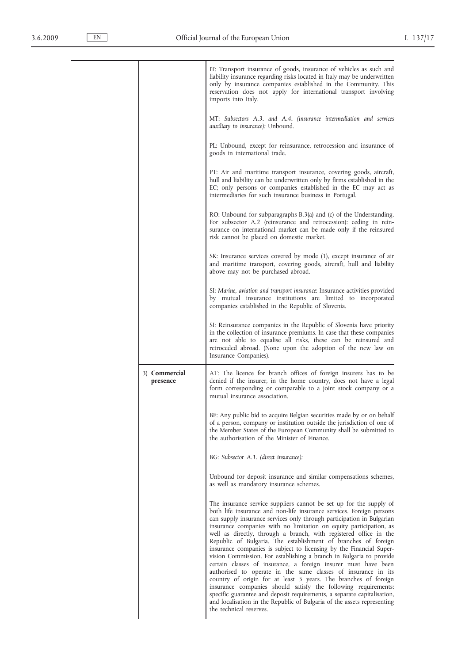|                           | IT: Transport insurance of goods, insurance of vehicles as such and<br>liability insurance regarding risks located in Italy may be underwritten<br>only by insurance companies established in the Community. This<br>reservation does not apply for international transport involving<br>imports into Italy.                                                                                                                                                                                                                                                                                                                                                                                                                                                                                                                                                                                                                                                                                                                            |
|---------------------------|-----------------------------------------------------------------------------------------------------------------------------------------------------------------------------------------------------------------------------------------------------------------------------------------------------------------------------------------------------------------------------------------------------------------------------------------------------------------------------------------------------------------------------------------------------------------------------------------------------------------------------------------------------------------------------------------------------------------------------------------------------------------------------------------------------------------------------------------------------------------------------------------------------------------------------------------------------------------------------------------------------------------------------------------|
|                           | MT: Subsectors A.3. and A.4. (insurance intermediation and services<br><i>auxiliary to insurance</i> ): Unbound.                                                                                                                                                                                                                                                                                                                                                                                                                                                                                                                                                                                                                                                                                                                                                                                                                                                                                                                        |
|                           | PL: Unbound, except for reinsurance, retrocession and insurance of<br>goods in international trade.                                                                                                                                                                                                                                                                                                                                                                                                                                                                                                                                                                                                                                                                                                                                                                                                                                                                                                                                     |
|                           | PT: Air and maritime transport insurance, covering goods, aircraft,<br>hull and liability can be underwritten only by firms established in the<br>EC; only persons or companies established in the EC may act as<br>intermediaries for such insurance business in Portugal.                                                                                                                                                                                                                                                                                                                                                                                                                                                                                                                                                                                                                                                                                                                                                             |
|                           | RO: Unbound for subparagraphs B.3(a) and (c) of the Understanding.<br>For subsector A.2 (reinsurance and retrocession): ceding in rein-<br>surance on international market can be made only if the reinsured<br>risk cannot be placed on domestic market.                                                                                                                                                                                                                                                                                                                                                                                                                                                                                                                                                                                                                                                                                                                                                                               |
|                           | SK: Insurance services covered by mode (1), except insurance of air<br>and maritime transport, covering goods, aircraft, hull and liability<br>above may not be purchased abroad.                                                                                                                                                                                                                                                                                                                                                                                                                                                                                                                                                                                                                                                                                                                                                                                                                                                       |
|                           | SI: Marine, aviation and transport insurance: Insurance activities provided<br>by mutual insurance institutions are limited to incorporated<br>companies established in the Republic of Slovenia.                                                                                                                                                                                                                                                                                                                                                                                                                                                                                                                                                                                                                                                                                                                                                                                                                                       |
|                           | SI: Reinsurance companies in the Republic of Slovenia have priority<br>in the collection of insurance premiums. In case that these companies<br>are not able to equalise all risks, these can be reinsured and                                                                                                                                                                                                                                                                                                                                                                                                                                                                                                                                                                                                                                                                                                                                                                                                                          |
|                           | retroceded abroad. (None upon the adoption of the new law on<br>Insurance Companies).                                                                                                                                                                                                                                                                                                                                                                                                                                                                                                                                                                                                                                                                                                                                                                                                                                                                                                                                                   |
| 3) Commercial<br>presence | AT: The licence for branch offices of foreign insurers has to be<br>denied if the insurer, in the home country, does not have a legal<br>form corresponding or comparable to a joint stock company or a<br>mutual insurance association.                                                                                                                                                                                                                                                                                                                                                                                                                                                                                                                                                                                                                                                                                                                                                                                                |
|                           | BE: Any public bid to acquire Belgian securities made by or on behalf<br>of a person, company or institution outside the jurisdiction of one of<br>the Member States of the European Community shall be submitted to<br>the authorisation of the Minister of Finance.                                                                                                                                                                                                                                                                                                                                                                                                                                                                                                                                                                                                                                                                                                                                                                   |
|                           | BG: Subsector A.1. (direct insurance):                                                                                                                                                                                                                                                                                                                                                                                                                                                                                                                                                                                                                                                                                                                                                                                                                                                                                                                                                                                                  |
|                           | Unbound for deposit insurance and similar compensations schemes,<br>as well as mandatory insurance schemes.                                                                                                                                                                                                                                                                                                                                                                                                                                                                                                                                                                                                                                                                                                                                                                                                                                                                                                                             |
|                           | The insurance service suppliers cannot be set up for the supply of<br>both life insurance and non-life insurance services. Foreign persons<br>can supply insurance services only through participation in Bulgarian<br>insurance companies with no limitation on equity participation, as<br>well as directly, through a branch, with registered office in the<br>Republic of Bulgaria. The establishment of branches of foreign<br>insurance companies is subject to licensing by the Financial Super-<br>vision Commission. For establishing a branch in Bulgaria to provide<br>certain classes of insurance, a foreign insurer must have been<br>authorised to operate in the same classes of insurance in its<br>country of origin for at least 5 years. The branches of foreign<br>insurance companies should satisfy the following requirements:<br>specific guarantee and deposit requirements, a separate capitalisation,<br>and localisation in the Republic of Bulgaria of the assets representing<br>the technical reserves. |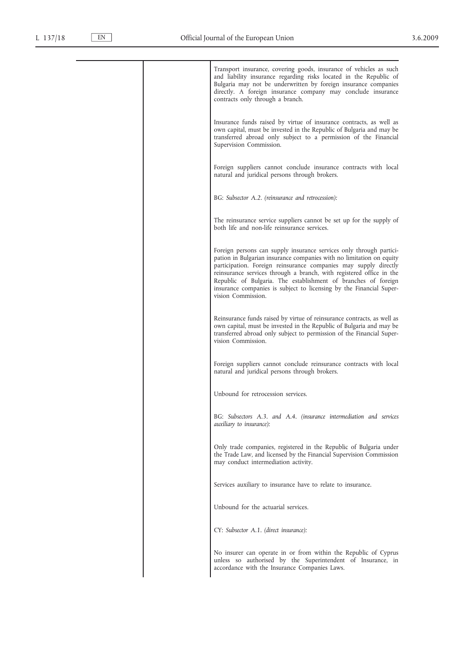| Transport insurance, covering goods, insurance of vehicles as such<br>and liability insurance regarding risks located in the Republic of<br>Bulgaria may not be underwritten by foreign insurance companies<br>directly. A foreign insurance company may conclude insurance<br>contracts only through a branch.                                                                                                                                        |
|--------------------------------------------------------------------------------------------------------------------------------------------------------------------------------------------------------------------------------------------------------------------------------------------------------------------------------------------------------------------------------------------------------------------------------------------------------|
| Insurance funds raised by virtue of insurance contracts, as well as<br>own capital, must be invested in the Republic of Bulgaria and may be<br>transferred abroad only subject to a permission of the Financial<br>Supervision Commission.                                                                                                                                                                                                             |
| Foreign suppliers cannot conclude insurance contracts with local<br>natural and juridical persons through brokers.                                                                                                                                                                                                                                                                                                                                     |
| BG: Subsector A.2. (reinsurance and retrocession):                                                                                                                                                                                                                                                                                                                                                                                                     |
| The reinsurance service suppliers cannot be set up for the supply of<br>both life and non-life reinsurance services.                                                                                                                                                                                                                                                                                                                                   |
| Foreign persons can supply insurance services only through partici-<br>pation in Bulgarian insurance companies with no limitation on equity<br>participation. Foreign reinsurance companies may supply directly<br>reinsurance services through a branch, with registered office in the<br>Republic of Bulgaria. The establishment of branches of foreign<br>insurance companies is subject to licensing by the Financial Super-<br>vision Commission. |
| Reinsurance funds raised by virtue of reinsurance contracts, as well as<br>own capital, must be invested in the Republic of Bulgaria and may be<br>transferred abroad only subject to permission of the Financial Super-<br>vision Commission.                                                                                                                                                                                                         |
| Foreign suppliers cannot conclude reinsurance contracts with local<br>natural and juridical persons through brokers.                                                                                                                                                                                                                                                                                                                                   |
| Unbound for retrocession services.                                                                                                                                                                                                                                                                                                                                                                                                                     |
| BG: Subsectors A.3. and A.4. (insurance intermediation and services<br><i>auxiliary</i> to <i>insurance</i> ):                                                                                                                                                                                                                                                                                                                                         |
| Only trade companies, registered in the Republic of Bulgaria under<br>the Trade Law, and licensed by the Financial Supervision Commission<br>may conduct intermediation activity.                                                                                                                                                                                                                                                                      |
| Services auxiliary to insurance have to relate to insurance.                                                                                                                                                                                                                                                                                                                                                                                           |
| Unbound for the actuarial services.                                                                                                                                                                                                                                                                                                                                                                                                                    |
| CY: Subsector A.1. (direct insurance):                                                                                                                                                                                                                                                                                                                                                                                                                 |
| No insurer can operate in or from within the Republic of Cyprus<br>unless so authorised by the Superintendent of Insurance, in<br>accordance with the Insurance Companies Laws.                                                                                                                                                                                                                                                                        |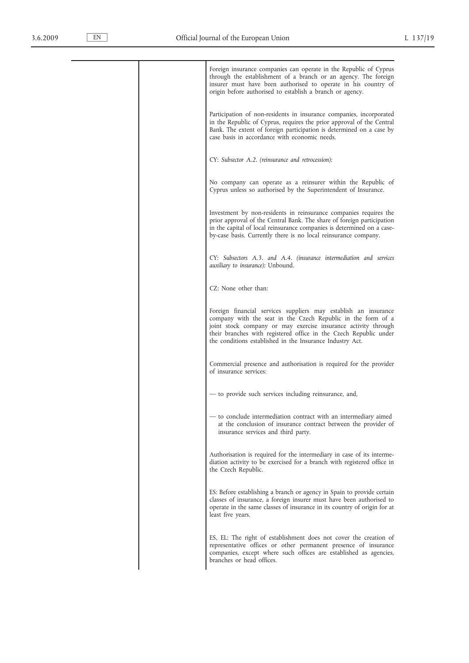| Foreign insurance companies can operate in the Republic of Cyprus<br>through the establishment of a branch or an agency. The foreign<br>insurer must have been authorised to operate in his country of<br>origin before authorised to establish a branch or agency.                                                                 |
|-------------------------------------------------------------------------------------------------------------------------------------------------------------------------------------------------------------------------------------------------------------------------------------------------------------------------------------|
| Participation of non-residents in insurance companies, incorporated<br>in the Republic of Cyprus, requires the prior approval of the Central<br>Bank. The extent of foreign participation is determined on a case by<br>case basis in accordance with economic needs.                                                               |
| CY: Subsector A.2. (reinsurance and retrocession):                                                                                                                                                                                                                                                                                  |
| No company can operate as a reinsurer within the Republic of<br>Cyprus unless so authorised by the Superintendent of Insurance.                                                                                                                                                                                                     |
| Investment by non-residents in reinsurance companies requires the<br>prior approval of the Central Bank. The share of foreign participation<br>in the capital of local reinsurance companies is determined on a case-<br>by-case basis. Currently there is no local reinsurance company.                                            |
| CY: Subsectors A.3. and A.4. (insurance intermediation and services<br>auxiliary to insurance): Unbound.                                                                                                                                                                                                                            |
| CZ: None other than:                                                                                                                                                                                                                                                                                                                |
| Foreign financial services suppliers may establish an insurance<br>company with the seat in the Czech Republic in the form of a<br>joint stock company or may exercise insurance activity through<br>their branches with registered office in the Czech Republic under<br>the conditions established in the Insurance Industry Act. |
| Commercial presence and authorisation is required for the provider<br>of insurance services:                                                                                                                                                                                                                                        |
| - to provide such services including reinsurance, and,                                                                                                                                                                                                                                                                              |
| - to conclude intermediation contract with an intermediary aimed<br>at the conclusion of insurance contract between the provider of<br>insurance services and third party.                                                                                                                                                          |
| Authorisation is required for the intermediary in case of its interme-<br>diation activity to be exercised for a branch with registered office in<br>the Czech Republic.                                                                                                                                                            |
| ES: Before establishing a branch or agency in Spain to provide certain<br>classes of insurance, a foreign insurer must have been authorised to<br>operate in the same classes of insurance in its country of origin for at<br>least five years.                                                                                     |
| ES, EL: The right of establishment does not cover the creation of<br>representative offices or other permanent presence of insurance<br>companies, except where such offices are established as agencies,<br>branches or head offices.                                                                                              |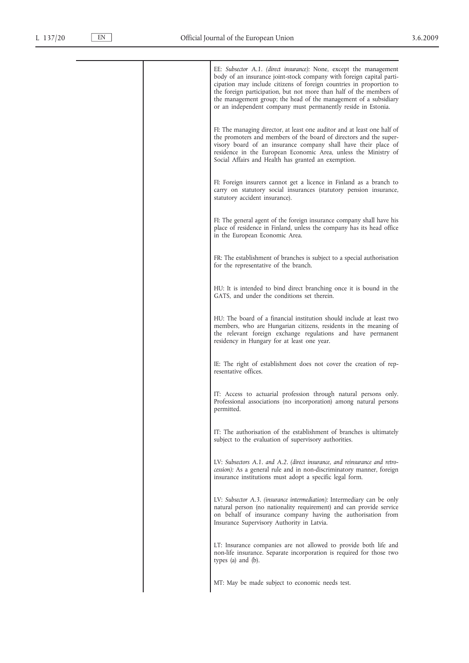| EE: Subsector A.1. (direct insurance): None, except the management<br>body of an insurance joint-stock company with foreign capital parti-<br>cipation may include citizens of foreign countries in proportion to<br>the foreign participation, but not more than half of the members of<br>the management group; the head of the management of a subsidiary<br>or an independent company must permanently reside in Estonia. |
|-------------------------------------------------------------------------------------------------------------------------------------------------------------------------------------------------------------------------------------------------------------------------------------------------------------------------------------------------------------------------------------------------------------------------------|
| FI: The managing director, at least one auditor and at least one half of<br>the promoters and members of the board of directors and the super-<br>visory board of an insurance company shall have their place of<br>residence in the European Economic Area, unless the Ministry of<br>Social Affairs and Health has granted an exemption.                                                                                    |
| FI: Foreign insurers cannot get a licence in Finland as a branch to<br>carry on statutory social insurances (statutory pension insurance,<br>statutory accident insurance).                                                                                                                                                                                                                                                   |
| FI: The general agent of the foreign insurance company shall have his<br>place of residence in Finland, unless the company has its head office<br>in the European Economic Area.                                                                                                                                                                                                                                              |
| FR: The establishment of branches is subject to a special authorisation<br>for the representative of the branch.                                                                                                                                                                                                                                                                                                              |
| HU: It is intended to bind direct branching once it is bound in the<br>GATS, and under the conditions set therein.                                                                                                                                                                                                                                                                                                            |
| HU: The board of a financial institution should include at least two<br>members, who are Hungarian citizens, residents in the meaning of<br>the relevant foreign exchange regulations and have permanent<br>residency in Hungary for at least one year.                                                                                                                                                                       |
| IE: The right of establishment does not cover the creation of rep-<br>resentative offices.                                                                                                                                                                                                                                                                                                                                    |
| IT: Access to actuarial profession through natural persons only.<br>Professional associations (no incorporation) among natural persons<br>permitted.                                                                                                                                                                                                                                                                          |
| IT: The authorisation of the establishment of branches is ultimately<br>subject to the evaluation of supervisory authorities.                                                                                                                                                                                                                                                                                                 |
| LV: Subsectors A.1. and A.2. (direct insurance, and reinsurance and retro-<br>cession): As a general rule and in non-discriminatory manner, foreign<br>insurance institutions must adopt a specific legal form.                                                                                                                                                                                                               |
| LV: Subsector A.3. (insurance intermediation): Intermediary can be only<br>natural person (no nationality requirement) and can provide service<br>on behalf of insurance company having the authorisation from<br>Insurance Supervisory Authority in Latvia.                                                                                                                                                                  |
| LT: Insurance companies are not allowed to provide both life and<br>non-life insurance. Separate incorporation is required for those two<br>types (a) and (b).                                                                                                                                                                                                                                                                |
| MT: May be made subject to economic needs test.                                                                                                                                                                                                                                                                                                                                                                               |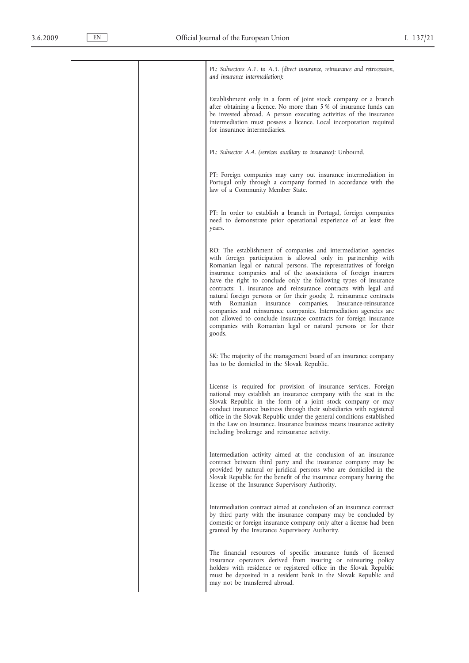| PL: Subsectors A.1. to A.3. (direct insurance, reinsurance and retrocession,<br>and insurance intermediation):<br>Establishment only in a form of joint stock company or a branch<br>after obtaining a licence. No more than 5% of insurance funds can<br>be invested abroad. A person executing activities of the insurance<br>intermediation must possess a licence. Local incorporation required<br>for insurance intermediaries.<br>PL: Subsector A.4. (services auxiliary to insurance): Unbound.<br>PT: Foreign companies may carry out insurance intermediation in<br>Portugal only through a company formed in accordance with the<br>law of a Community Member State.<br>PT: In order to establish a branch in Portugal, foreign companies<br>need to demonstrate prior operational experience of at least five<br>years.<br>RO: The establishment of companies and intermediation agencies<br>with foreign participation is allowed only in partnership with<br>Romanian legal or natural persons. The representatives of foreign<br>insurance companies and of the associations of foreign insurers<br>have the right to conclude only the following types of insurance<br>contracts: 1. insurance and reinsurance contracts with legal and<br>natural foreign persons or for their goods; 2. reinsurance contracts<br>with<br>Romanian<br>companies, Insurance-reinsurance<br>insurance<br>companies and reinsurance companies. Intermediation agencies are<br>not allowed to conclude insurance contracts for foreign insurance<br>companies with Romanian legal or natural persons or for their<br>goods.<br>SK: The majority of the management board of an insurance company<br>has to be domiciled in the Slovak Republic.<br>License is required for provision of insurance services. Foreign<br>national may establish an insurance company with the seat in the<br>Slovak Republic in the form of a joint stock company or may<br>conduct insurance business through their subsidiaries with registered<br>office in the Slovak Republic under the general conditions established<br>in the Law on Insurance. Insurance business means insurance activity<br>including brokerage and reinsurance activity.<br>Intermediation activity aimed at the conclusion of an insurance<br>contract between third party and the insurance company may be<br>provided by natural or juridical persons who are domiciled in the<br>Slovak Republic for the benefit of the insurance company having the<br>license of the Insurance Supervisory Authority.<br>Intermediation contract aimed at conclusion of an insurance contract<br>by third party with the insurance company may be concluded by<br>domestic or foreign insurance company only after a license had been<br>granted by the Insurance Supervisory Authority.<br>The financial resources of specific insurance funds of licensed<br>insurance operators derived from insuring or reinsuring policy<br>holders with residence or registered office in the Slovak Republic<br>must be deposited in a resident bank in the Slovak Republic and<br>may not be transferred abroad. |  |  |
|-----------------------------------------------------------------------------------------------------------------------------------------------------------------------------------------------------------------------------------------------------------------------------------------------------------------------------------------------------------------------------------------------------------------------------------------------------------------------------------------------------------------------------------------------------------------------------------------------------------------------------------------------------------------------------------------------------------------------------------------------------------------------------------------------------------------------------------------------------------------------------------------------------------------------------------------------------------------------------------------------------------------------------------------------------------------------------------------------------------------------------------------------------------------------------------------------------------------------------------------------------------------------------------------------------------------------------------------------------------------------------------------------------------------------------------------------------------------------------------------------------------------------------------------------------------------------------------------------------------------------------------------------------------------------------------------------------------------------------------------------------------------------------------------------------------------------------------------------------------------------------------------------------------------------------------------------------------------------------------------------------------------------------------------------------------------------------------------------------------------------------------------------------------------------------------------------------------------------------------------------------------------------------------------------------------------------------------------------------------------------------------------------------------------------------------------------------------------------------------------------------------------------------------------------------------------------------------------------------------------------------------------------------------------------------------------------------------------------------------------------------------------------------------------------------------------------------------------------------------------------------------------------------------------------------------------------------------------------------------------------------------------------------------------------------------------------------------------------------------------------------------------------------|--|--|
|                                                                                                                                                                                                                                                                                                                                                                                                                                                                                                                                                                                                                                                                                                                                                                                                                                                                                                                                                                                                                                                                                                                                                                                                                                                                                                                                                                                                                                                                                                                                                                                                                                                                                                                                                                                                                                                                                                                                                                                                                                                                                                                                                                                                                                                                                                                                                                                                                                                                                                                                                                                                                                                                                                                                                                                                                                                                                                                                                                                                                                                                                                                                                     |  |  |
|                                                                                                                                                                                                                                                                                                                                                                                                                                                                                                                                                                                                                                                                                                                                                                                                                                                                                                                                                                                                                                                                                                                                                                                                                                                                                                                                                                                                                                                                                                                                                                                                                                                                                                                                                                                                                                                                                                                                                                                                                                                                                                                                                                                                                                                                                                                                                                                                                                                                                                                                                                                                                                                                                                                                                                                                                                                                                                                                                                                                                                                                                                                                                     |  |  |
|                                                                                                                                                                                                                                                                                                                                                                                                                                                                                                                                                                                                                                                                                                                                                                                                                                                                                                                                                                                                                                                                                                                                                                                                                                                                                                                                                                                                                                                                                                                                                                                                                                                                                                                                                                                                                                                                                                                                                                                                                                                                                                                                                                                                                                                                                                                                                                                                                                                                                                                                                                                                                                                                                                                                                                                                                                                                                                                                                                                                                                                                                                                                                     |  |  |
|                                                                                                                                                                                                                                                                                                                                                                                                                                                                                                                                                                                                                                                                                                                                                                                                                                                                                                                                                                                                                                                                                                                                                                                                                                                                                                                                                                                                                                                                                                                                                                                                                                                                                                                                                                                                                                                                                                                                                                                                                                                                                                                                                                                                                                                                                                                                                                                                                                                                                                                                                                                                                                                                                                                                                                                                                                                                                                                                                                                                                                                                                                                                                     |  |  |
|                                                                                                                                                                                                                                                                                                                                                                                                                                                                                                                                                                                                                                                                                                                                                                                                                                                                                                                                                                                                                                                                                                                                                                                                                                                                                                                                                                                                                                                                                                                                                                                                                                                                                                                                                                                                                                                                                                                                                                                                                                                                                                                                                                                                                                                                                                                                                                                                                                                                                                                                                                                                                                                                                                                                                                                                                                                                                                                                                                                                                                                                                                                                                     |  |  |
|                                                                                                                                                                                                                                                                                                                                                                                                                                                                                                                                                                                                                                                                                                                                                                                                                                                                                                                                                                                                                                                                                                                                                                                                                                                                                                                                                                                                                                                                                                                                                                                                                                                                                                                                                                                                                                                                                                                                                                                                                                                                                                                                                                                                                                                                                                                                                                                                                                                                                                                                                                                                                                                                                                                                                                                                                                                                                                                                                                                                                                                                                                                                                     |  |  |
|                                                                                                                                                                                                                                                                                                                                                                                                                                                                                                                                                                                                                                                                                                                                                                                                                                                                                                                                                                                                                                                                                                                                                                                                                                                                                                                                                                                                                                                                                                                                                                                                                                                                                                                                                                                                                                                                                                                                                                                                                                                                                                                                                                                                                                                                                                                                                                                                                                                                                                                                                                                                                                                                                                                                                                                                                                                                                                                                                                                                                                                                                                                                                     |  |  |
|                                                                                                                                                                                                                                                                                                                                                                                                                                                                                                                                                                                                                                                                                                                                                                                                                                                                                                                                                                                                                                                                                                                                                                                                                                                                                                                                                                                                                                                                                                                                                                                                                                                                                                                                                                                                                                                                                                                                                                                                                                                                                                                                                                                                                                                                                                                                                                                                                                                                                                                                                                                                                                                                                                                                                                                                                                                                                                                                                                                                                                                                                                                                                     |  |  |
|                                                                                                                                                                                                                                                                                                                                                                                                                                                                                                                                                                                                                                                                                                                                                                                                                                                                                                                                                                                                                                                                                                                                                                                                                                                                                                                                                                                                                                                                                                                                                                                                                                                                                                                                                                                                                                                                                                                                                                                                                                                                                                                                                                                                                                                                                                                                                                                                                                                                                                                                                                                                                                                                                                                                                                                                                                                                                                                                                                                                                                                                                                                                                     |  |  |
|                                                                                                                                                                                                                                                                                                                                                                                                                                                                                                                                                                                                                                                                                                                                                                                                                                                                                                                                                                                                                                                                                                                                                                                                                                                                                                                                                                                                                                                                                                                                                                                                                                                                                                                                                                                                                                                                                                                                                                                                                                                                                                                                                                                                                                                                                                                                                                                                                                                                                                                                                                                                                                                                                                                                                                                                                                                                                                                                                                                                                                                                                                                                                     |  |  |
|                                                                                                                                                                                                                                                                                                                                                                                                                                                                                                                                                                                                                                                                                                                                                                                                                                                                                                                                                                                                                                                                                                                                                                                                                                                                                                                                                                                                                                                                                                                                                                                                                                                                                                                                                                                                                                                                                                                                                                                                                                                                                                                                                                                                                                                                                                                                                                                                                                                                                                                                                                                                                                                                                                                                                                                                                                                                                                                                                                                                                                                                                                                                                     |  |  |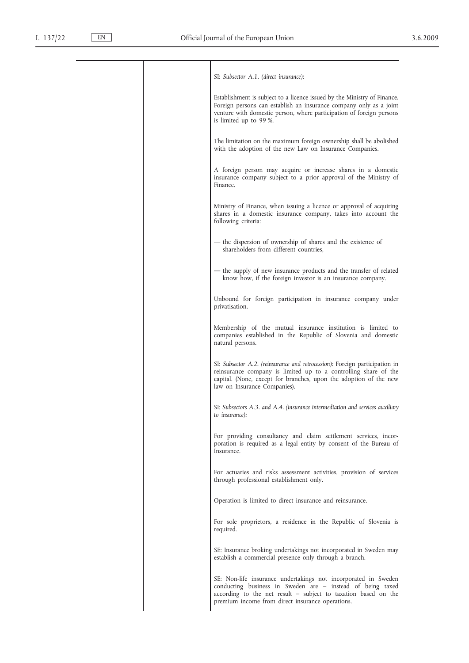| SI: Subsector A.1. (direct insurance):                                                                                                                                                                                                              |
|-----------------------------------------------------------------------------------------------------------------------------------------------------------------------------------------------------------------------------------------------------|
| Establishment is subject to a licence issued by the Ministry of Finance.<br>Foreign persons can establish an insurance company only as a joint<br>venture with domestic person, where participation of foreign persons<br>is limited up to 99 %.    |
| The limitation on the maximum foreign ownership shall be abolished<br>with the adoption of the new Law on Insurance Companies.                                                                                                                      |
| A foreign person may acquire or increase shares in a domestic<br>insurance company subject to a prior approval of the Ministry of<br>Finance.                                                                                                       |
| Ministry of Finance, when issuing a licence or approval of acquiring<br>shares in a domestic insurance company, takes into account the<br>following criteria:                                                                                       |
| - the dispersion of ownership of shares and the existence of<br>shareholders from different countries,                                                                                                                                              |
| - the supply of new insurance products and the transfer of related<br>know how, if the foreign investor is an insurance company.                                                                                                                    |
| Unbound for foreign participation in insurance company under<br>privatisation.                                                                                                                                                                      |
| Membership of the mutual insurance institution is limited to<br>companies established in the Republic of Slovenia and domestic<br>natural persons.                                                                                                  |
| SI: Subsector A.2. (reinsurance and retrocession): Foreign participation in<br>reinsurance company is limited up to a controlling share of the<br>capital. (None, except for branches, upon the adoption of the new<br>law on Insurance Companies). |
| SI: Subsectors A.3. and A.4. (insurance intermediation and services auxiliary<br>to <i>insurance</i> ):                                                                                                                                             |
| For providing consultancy and claim settlement services, incor-<br>poration is required as a legal entity by consent of the Bureau of<br>Insurance.                                                                                                 |
| For actuaries and risks assessment activities, provision of services<br>through professional establishment only.                                                                                                                                    |
| Operation is limited to direct insurance and reinsurance.                                                                                                                                                                                           |
| For sole proprietors, a residence in the Republic of Slovenia is<br>required.                                                                                                                                                                       |
| SE: Insurance broking undertakings not incorporated in Sweden may<br>establish a commercial presence only through a branch.                                                                                                                         |
| SE: Non-life insurance undertakings not incorporated in Sweden<br>conducting business in Sweden are - instead of being taxed<br>according to the net result - subject to taxation based on the<br>premium income from direct insurance operations.  |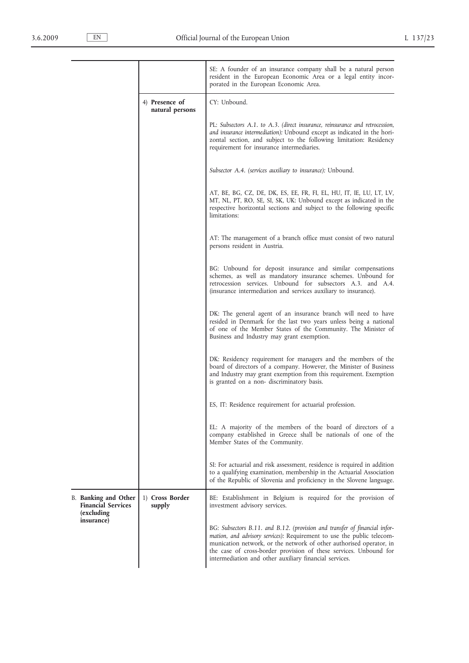|                                                                        |                                   | SE: A founder of an insurance company shall be a natural person<br>resident in the European Economic Area or a legal entity incor-<br>porated in the European Economic Area.                                                                                                                                                                               |
|------------------------------------------------------------------------|-----------------------------------|------------------------------------------------------------------------------------------------------------------------------------------------------------------------------------------------------------------------------------------------------------------------------------------------------------------------------------------------------------|
|                                                                        | 4) Presence of<br>natural persons | CY: Unbound.                                                                                                                                                                                                                                                                                                                                               |
|                                                                        |                                   | PL: Subsectors A.1. to A.3. (direct insurance, reinsurance and retrocession,<br>and insurance intermediation): Unbound except as indicated in the hori-<br>zontal section, and subject to the following limitation: Residency<br>requirement for insurance intermediaries.                                                                                 |
|                                                                        |                                   | Subsector A.4. (services auxiliary to insurance): Unbound.                                                                                                                                                                                                                                                                                                 |
|                                                                        |                                   | AT, BE, BG, CZ, DE, DK, ES, EE, FR, FI, EL, HU, IT, IE, LU, LT, LV,<br>MT, NL, PT, RO, SE, SI, SK, UK: Unbound except as indicated in the<br>respective horizontal sections and subject to the following specific<br>limitations:                                                                                                                          |
|                                                                        |                                   | AT: The management of a branch office must consist of two natural<br>persons resident in Austria.                                                                                                                                                                                                                                                          |
|                                                                        |                                   | BG: Unbound for deposit insurance and similar compensations<br>schemes, as well as mandatory insurance schemes. Unbound for<br>retrocession services. Unbound for subsectors A.3. and A.4.<br>(insurance intermediation and services auxiliary to insurance).                                                                                              |
|                                                                        |                                   | DK: The general agent of an insurance branch will need to have<br>resided in Denmark for the last two years unless being a national<br>of one of the Member States of the Community. The Minister of<br>Business and Industry may grant exemption.                                                                                                         |
|                                                                        |                                   | DK: Residency requirement for managers and the members of the<br>board of directors of a company. However, the Minister of Business<br>and Industry may grant exemption from this requirement. Exemption<br>is granted on a non-discriminatory basis.                                                                                                      |
|                                                                        |                                   | ES, IT: Residence requirement for actuarial profession.                                                                                                                                                                                                                                                                                                    |
|                                                                        |                                   | EL: A majority of the members of the board of directors of a<br>company established in Greece shall be nationals of one of the<br>Member States of the Community.                                                                                                                                                                                          |
|                                                                        |                                   | SI: For actuarial and risk assessment, residence is required in addition<br>to a qualifying examination, membership in the Actuarial Association<br>of the Republic of Slovenia and proficiency in the Slovene language.                                                                                                                                   |
| <b>B.</b> Banking and Other<br><b>Financial Services</b><br>(excluding | 1) Cross Border<br>supply         | BE: Establishment in Belgium is required for the provision of<br>investment advisory services.                                                                                                                                                                                                                                                             |
| insurance)                                                             |                                   | BG: Subsectors B.11. and B.12. (provision and transfer of financial infor-<br>mation, and advisory services): Requirement to use the public telecom-<br>munication network, or the network of other authorised operator, in<br>the case of cross-border provision of these services. Unbound for<br>intermediation and other auxiliary financial services. |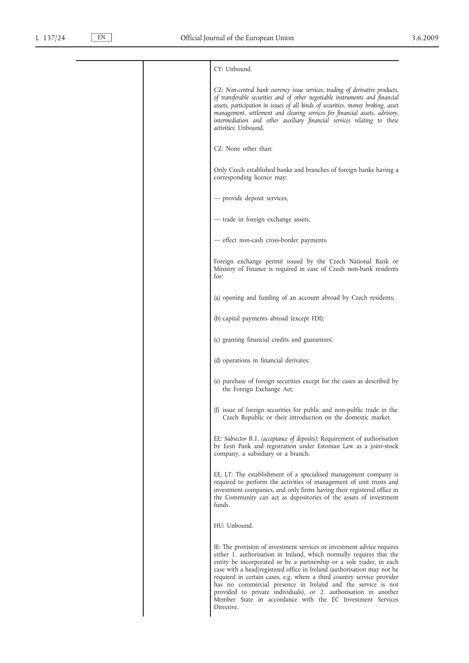| CY: Unbound.                                                                                                                                                                                                                                                                                                                                                                                                                                                                                                                                                                                |
|---------------------------------------------------------------------------------------------------------------------------------------------------------------------------------------------------------------------------------------------------------------------------------------------------------------------------------------------------------------------------------------------------------------------------------------------------------------------------------------------------------------------------------------------------------------------------------------------|
| CZ: Non-central bank currency issue services, trading of derivative products,<br>of transferable securities and of other negotiable instruments and financial<br>assets, participation in issues of all kinds of securities, money broking, asset<br>management, settlement and clearing services for financial assets, advisory,<br>intermediation and other auxiliary financial services relating to these<br><i>activities</i> : Unbound.                                                                                                                                                |
| CZ: None other than:                                                                                                                                                                                                                                                                                                                                                                                                                                                                                                                                                                        |
| Only Czech established banks and branches of foreign banks having a<br>corresponding licence may:                                                                                                                                                                                                                                                                                                                                                                                                                                                                                           |
| - provide deposit services,                                                                                                                                                                                                                                                                                                                                                                                                                                                                                                                                                                 |
| - trade in foreign exchange assets,                                                                                                                                                                                                                                                                                                                                                                                                                                                                                                                                                         |
| - effect non-cash cross-border payments.                                                                                                                                                                                                                                                                                                                                                                                                                                                                                                                                                    |
| Foreign exchange permit issued by the Czech National Bank or<br>Ministry of Finance is required in case of Czech non-bank residents<br>for:                                                                                                                                                                                                                                                                                                                                                                                                                                                 |
| (a) opening and funding of an account abroad by Czech residents;                                                                                                                                                                                                                                                                                                                                                                                                                                                                                                                            |
| (b) capital payments abroad (except FDI);                                                                                                                                                                                                                                                                                                                                                                                                                                                                                                                                                   |
| (c) granting financial credits and guarantees;                                                                                                                                                                                                                                                                                                                                                                                                                                                                                                                                              |
| (d) operations in financial derivates;                                                                                                                                                                                                                                                                                                                                                                                                                                                                                                                                                      |
| (e) purchase of foreign securities except for the cases as described by<br>the Foreign Exchange Act;                                                                                                                                                                                                                                                                                                                                                                                                                                                                                        |
| (f) issue of foreign securities for public and non-public trade in the<br>Czech Republic or their introduction on the domestic market.                                                                                                                                                                                                                                                                                                                                                                                                                                                      |
| EE: Subsector B.1. (acceptance of deposits): Requirement of authorisation<br>by Eesti Pank and registration under Estonian Law as a joint-stock<br>company, a subsidiary or a branch.                                                                                                                                                                                                                                                                                                                                                                                                       |
| EE, LT: The establishment of a specialised management company is<br>required to perform the activities of management of unit trusts and<br>investment companies, and only firms having their registered office in<br>the Community can act as depositories of the assets of investment<br>funds.                                                                                                                                                                                                                                                                                            |
| HU: Unbound.                                                                                                                                                                                                                                                                                                                                                                                                                                                                                                                                                                                |
| IE: The provision of investment services or investment advice requires<br>either 1. authorisation in Ireland, which normally requires that the<br>entity be incorporated or be a partnership or a sole trader, in each<br>case with a head/registered office in Ireland (authorisation may not be<br>required in certain cases, e.g. where a third country service provider<br>has no commercial presence in Ireland and the service is not<br>provided to private individuals), or 2. authorisation in another<br>Member State in accordance with the EC Investment Services<br>Directive. |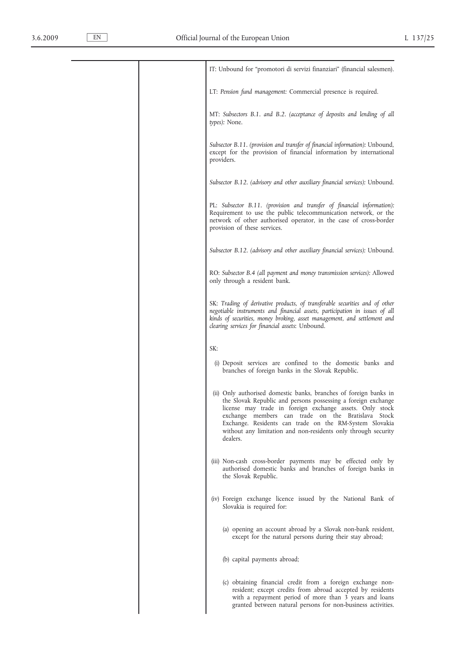|  | IT: Unbound for "promotori di servizi finanziari" (financial salesmen).                                                                                                                                                                                                                                                                                                                       |
|--|-----------------------------------------------------------------------------------------------------------------------------------------------------------------------------------------------------------------------------------------------------------------------------------------------------------------------------------------------------------------------------------------------|
|  | LT: Pension fund management: Commercial presence is required.                                                                                                                                                                                                                                                                                                                                 |
|  | MT: Subsectors B.1. and B.2. (acceptance of deposits and lending of all<br>types): None.                                                                                                                                                                                                                                                                                                      |
|  | Subsector B.11. (provision and transfer of financial information): Unbound,<br>except for the provision of financial information by international<br>providers.                                                                                                                                                                                                                               |
|  | Subsector B.12. (advisory and other auxiliary financial services): Unbound.                                                                                                                                                                                                                                                                                                                   |
|  | PL: Subsector B.11. (provision and transfer of financial information):<br>Requirement to use the public telecommunication network, or the<br>network of other authorised operator, in the case of cross-border<br>provision of these services.                                                                                                                                                |
|  | Subsector B.12. (advisory and other auxiliary financial services): Unbound.                                                                                                                                                                                                                                                                                                                   |
|  | RO: Subsector B.4 (all payment and money transmission services): Allowed<br>only through a resident bank.                                                                                                                                                                                                                                                                                     |
|  | SK: Trading of derivative products, of transferable securities and of other<br>negotiable instruments and financial assets, participation in issues of all<br>kinds of securities, money broking, asset management, and settlement and<br>clearing services for financial assets: Unbound.                                                                                                    |
|  | SK:                                                                                                                                                                                                                                                                                                                                                                                           |
|  | (i) Deposit services are confined to the domestic banks and<br>branches of foreign banks in the Slovak Republic.                                                                                                                                                                                                                                                                              |
|  | (ii) Only authorised domestic banks, branches of foreign banks in<br>the Slovak Republic and persons possessing a foreign exchange<br>license may trade in foreign exchange assets. Only stock<br>exchange members can trade on the Bratislava Stock<br>Exchange. Residents can trade on the RM-System Slovakia<br>without any limitation and non-residents only through security<br>dealers. |
|  | (iii) Non-cash cross-border payments may be effected only by<br>authorised domestic banks and branches of foreign banks in<br>the Slovak Republic.                                                                                                                                                                                                                                            |
|  | (iv) Foreign exchange licence issued by the National Bank of<br>Slovakia is required for:                                                                                                                                                                                                                                                                                                     |
|  | (a) opening an account abroad by a Slovak non-bank resident,<br>except for the natural persons during their stay abroad;                                                                                                                                                                                                                                                                      |
|  | (b) capital payments abroad;                                                                                                                                                                                                                                                                                                                                                                  |
|  | (c) obtaining financial credit from a foreign exchange non-<br>resident; except credits from abroad accepted by residents<br>with a repayment period of more than 3 years and loans<br>granted between natural persons for non-business activities.                                                                                                                                           |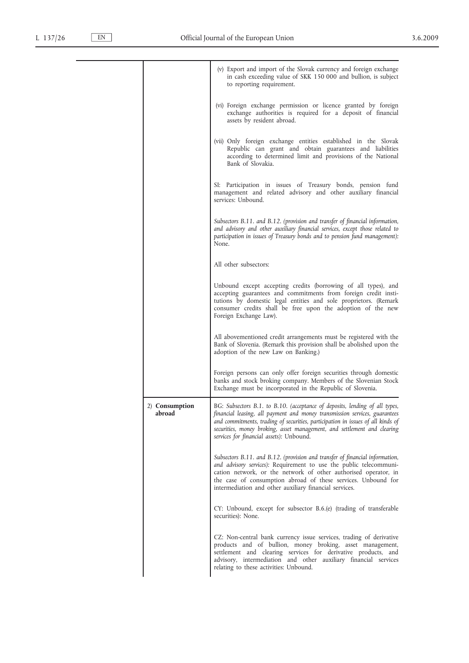|                          | (v) Export and import of the Slovak currency and foreign exchange<br>in cash exceeding value of SKK 150 000 and bullion, is subject<br>to reporting requirement.                                                                                                                                                                                                     |
|--------------------------|----------------------------------------------------------------------------------------------------------------------------------------------------------------------------------------------------------------------------------------------------------------------------------------------------------------------------------------------------------------------|
|                          | (vi) Foreign exchange permission or licence granted by foreign<br>exchange authorities is required for a deposit of financial<br>assets by resident abroad.                                                                                                                                                                                                          |
|                          | (vii) Only foreign exchange entities established in the Slovak<br>Republic can grant and obtain guarantees and liabilities<br>according to determined limit and provisions of the National<br>Bank of Slovakia.                                                                                                                                                      |
|                          | SI: Participation in issues of Treasury bonds, pension fund<br>management and related advisory and other auxiliary financial<br>services: Unbound.                                                                                                                                                                                                                   |
|                          | Subsectors B.11. and B.12. (provision and transfer of financial information,<br>and advisory and other auxiliary financial services, except those related to<br>participation in issues of Treasury bonds and to pension fund management):<br>None.                                                                                                                  |
|                          | All other subsectors:                                                                                                                                                                                                                                                                                                                                                |
|                          | Unbound except accepting credits (borrowing of all types), and<br>accepting guarantees and commitments from foreign credit insti-<br>tutions by domestic legal entities and sole proprietors. (Remark<br>consumer credits shall be free upon the adoption of the new<br>Foreign Exchange Law).                                                                       |
|                          | All abovementioned credit arrangements must be registered with the<br>Bank of Slovenia. (Remark this provision shall be abolished upon the<br>adoption of the new Law on Banking.)                                                                                                                                                                                   |
|                          | Foreign persons can only offer foreign securities through domestic<br>banks and stock broking company. Members of the Slovenian Stock<br>Exchange must be incorporated in the Republic of Slovenia.                                                                                                                                                                  |
| 2) Consumption<br>abroad | BG: Subsectors B.1. to B.10. (acceptance of deposits, lending of all types,<br>financial leasing, all payment and money transmission services, guarantees<br>and commitments, trading of securities, participation in issues of all kinds of<br>securities, money broking, asset management, and settlement and clearing<br>services for financial assets): Unbound. |
|                          | Subsectors B.11. and B.12. (provision and transfer of financial information,<br>and advisory services): Requirement to use the public telecommuni-<br>cation network, or the network of other authorised operator, in<br>the case of consumption abroad of these services. Unbound for<br>intermediation and other auxiliary financial services.                     |
|                          | CY: Unbound, except for subsector B.6.(e) (trading of transferable<br>securities): None.                                                                                                                                                                                                                                                                             |
|                          | CZ: Non-central bank currency issue services, trading of derivative<br>products and of bullion, money broking, asset management,<br>settlement and clearing services for derivative products, and<br>advisory, intermediation and other auxiliary financial services<br>relating to these activities: Unbound.                                                       |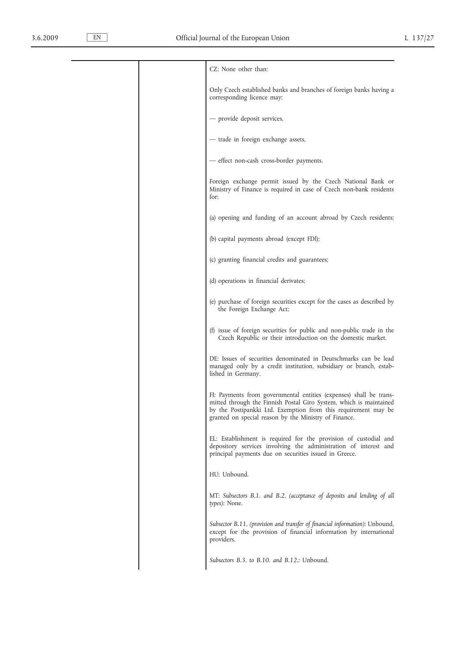| CZ: None other than:                                                                                                                                                                                                                                                |
|---------------------------------------------------------------------------------------------------------------------------------------------------------------------------------------------------------------------------------------------------------------------|
| Only Czech established banks and branches of foreign banks having a<br>corresponding licence may:                                                                                                                                                                   |
| - provide deposit services,                                                                                                                                                                                                                                         |
| - trade in foreign exchange assets,                                                                                                                                                                                                                                 |
| - effect non-cash cross-border payments.                                                                                                                                                                                                                            |
| Foreign exchange permit issued by the Czech National Bank or<br>Ministry of Finance is required in case of Czech non-bank residents<br>for:                                                                                                                         |
| (a) opening and funding of an account abroad by Czech residents;                                                                                                                                                                                                    |
| (b) capital payments abroad (except FDI);                                                                                                                                                                                                                           |
| (c) granting financial credits and guarantees;                                                                                                                                                                                                                      |
| (d) operations in financial derivates;                                                                                                                                                                                                                              |
| (e) purchase of foreign securities except for the cases as described by<br>the Foreign Exchange Act;                                                                                                                                                                |
| (f) issue of foreign securities for public and non-public trade in the<br>Czech Republic or their introduction on the domestic market.                                                                                                                              |
| DE: Issues of securities denominated in Deutschmarks can be lead<br>managed only by a credit institution, subsidiary or branch, estab-<br>lished in Germany.                                                                                                        |
| FI: Payments from governmental entities (expenses) shall be trans-<br>mitted through the Finnish Postal Giro System, which is maintained<br>by the Postipankki Ltd. Exemption from this requirement may be<br>granted on special reason by the Ministry of Finance. |
| EL: Establishment is required for the provision of custodial and<br>depository services involving the administration of interest and<br>principal payments due on securities issued in Greece.                                                                      |
| HU: Unbound.                                                                                                                                                                                                                                                        |
| MT: Subsectors B.1. and B.2. (acceptance of deposits and lending of all<br>types): None.                                                                                                                                                                            |
| Subsector B.11. (provision and transfer of financial information): Unbound,<br>except for the provision of financial information by international<br>providers.                                                                                                     |
| Subsectors B.3. to B.10. and B.12.: Unbound.                                                                                                                                                                                                                        |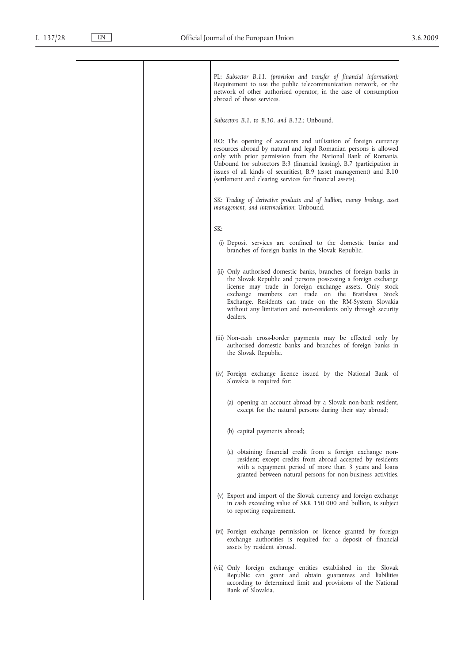| PL: Subsector B.11. (provision and transfer of financial information):<br>Requirement to use the public telecommunication network, or the<br>network of other authorised operator, in the case of consumption<br>abroad of these services.                                                                                                                                                                        |
|-------------------------------------------------------------------------------------------------------------------------------------------------------------------------------------------------------------------------------------------------------------------------------------------------------------------------------------------------------------------------------------------------------------------|
| Subsectors B.1. to B.10. and B.12.: Unbound.                                                                                                                                                                                                                                                                                                                                                                      |
| RO: The opening of accounts and utilisation of foreign currency<br>resources abroad by natural and legal Romanian persons is allowed<br>only with prior permission from the National Bank of Romania.<br>Unbound for subsectors B:3 (financial leasing), B.7 (participation in<br>issues of all kinds of securities), B.9 (asset management) and B.10<br>(settlement and clearing services for financial assets). |
| SK: Trading of derivative products and of bullion, money broking, asset<br>management, and intermediation: Unbound.                                                                                                                                                                                                                                                                                               |
| SK:                                                                                                                                                                                                                                                                                                                                                                                                               |
| (i) Deposit services are confined to the domestic banks and<br>branches of foreign banks in the Slovak Republic.                                                                                                                                                                                                                                                                                                  |
| (ii) Only authorised domestic banks, branches of foreign banks in<br>the Slovak Republic and persons possessing a foreign exchange<br>license may trade in foreign exchange assets. Only stock<br>exchange members can trade on the Bratislava Stock<br>Exchange. Residents can trade on the RM-System Slovakia<br>without any limitation and non-residents only through security<br>dealers.                     |
| (iii) Non-cash cross-border payments may be effected only by<br>authorised domestic banks and branches of foreign banks in<br>the Slovak Republic.                                                                                                                                                                                                                                                                |
| (iv) Foreign exchange licence issued by the National Bank of<br>Slovakia is required for:                                                                                                                                                                                                                                                                                                                         |
| (a) opening an account abroad by a Slovak non-bank resident,<br>except for the natural persons during their stay abroad;                                                                                                                                                                                                                                                                                          |
| (b) capital payments abroad;                                                                                                                                                                                                                                                                                                                                                                                      |
| (c) obtaining financial credit from a foreign exchange non-<br>resident; except credits from abroad accepted by residents<br>with a repayment period of more than 3 years and loans<br>granted between natural persons for non-business activities.                                                                                                                                                               |
| (v) Export and import of the Slovak currency and foreign exchange<br>in cash exceeding value of SKK 150 000 and bullion, is subject<br>to reporting requirement.                                                                                                                                                                                                                                                  |
| (vi) Foreign exchange permission or licence granted by foreign<br>exchange authorities is required for a deposit of financial<br>assets by resident abroad.                                                                                                                                                                                                                                                       |
| (vii) Only foreign exchange entities established in the Slovak<br>Republic can grant and obtain guarantees and liabilities<br>according to determined limit and provisions of the National<br>Bank of Slovakia.                                                                                                                                                                                                   |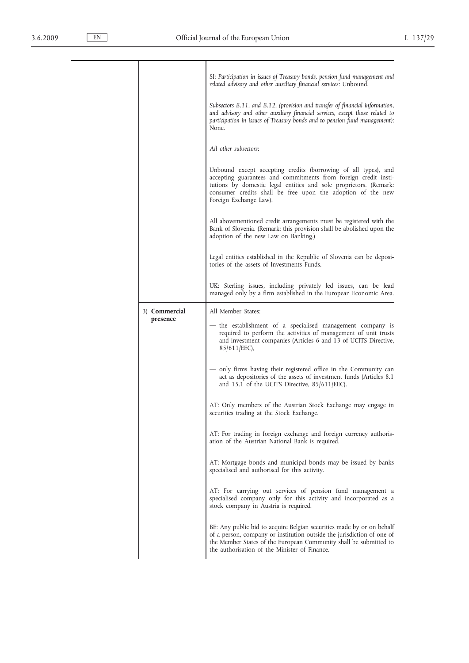|               | SI: Participation in issues of Treasury bonds, pension fund management and<br>related advisory and other auxiliary financial services: Unbound.                                                                                                                                                 |
|---------------|-------------------------------------------------------------------------------------------------------------------------------------------------------------------------------------------------------------------------------------------------------------------------------------------------|
|               | Subsectors B.11. and B.12. (provision and transfer of financial information,<br>and advisory and other auxiliary financial services, except those related to<br>participation in issues of Treasury bonds and to pension fund management):<br>None.                                             |
|               | All other subsectors:                                                                                                                                                                                                                                                                           |
|               | Unbound except accepting credits (borrowing of all types), and<br>accepting guarantees and commitments from foreign credit insti-<br>tutions by domestic legal entities and sole proprietors. (Remark:<br>consumer credits shall be free upon the adoption of the new<br>Foreign Exchange Law). |
|               | All abovementioned credit arrangements must be registered with the<br>Bank of Slovenia. (Remark: this provision shall be abolished upon the<br>adoption of the new Law on Banking.)                                                                                                             |
|               | Legal entities established in the Republic of Slovenia can be deposi-<br>tories of the assets of Investments Funds.                                                                                                                                                                             |
|               | UK: Sterling issues, including privately led issues, can be lead<br>managed only by a firm established in the European Economic Area.                                                                                                                                                           |
| 3) Commercial | All Member States:                                                                                                                                                                                                                                                                              |
| presence      | — the establishment of a specialised management company is<br>required to perform the activities of management of unit trusts<br>and investment companies (Articles 6 and 13 of UCITS Directive,<br>85/611/EEC),                                                                                |
|               | — only firms having their registered office in the Community can<br>act as depositories of the assets of investment funds (Articles 8.1)<br>and 15.1 of the UCITS Directive, $85/611/EEC$ ).                                                                                                    |
|               | AT: Only members of the Austrian Stock Exchange may engage in<br>securities trading at the Stock Exchange.                                                                                                                                                                                      |
|               | AT: For trading in foreign exchange and foreign currency authoris-<br>ation of the Austrian National Bank is required.                                                                                                                                                                          |
|               | AT: Mortgage bonds and municipal bonds may be issued by banks<br>specialised and authorised for this activity.                                                                                                                                                                                  |
|               | AT: For carrying out services of pension fund management a<br>specialised company only for this activity and incorporated as a<br>stock company in Austria is required.                                                                                                                         |
|               | BE: Any public bid to acquire Belgian securities made by or on behalf<br>of a person, company or institution outside the jurisdiction of one of<br>the Member States of the European Community shall be submitted to<br>the authorisation of the Minister of Finance.                           |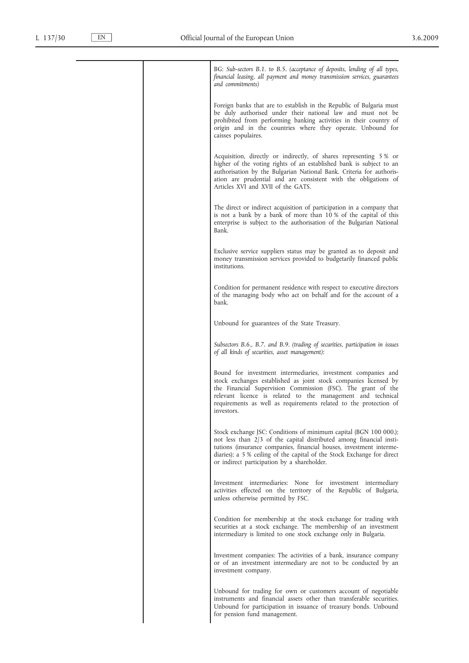| BG: Sub-sectors B.1. to B.5. (acceptance of deposits, lending of all types,<br>financial leasing, all payment and money transmission services, guarantees<br>and commitments)                                                                                                                                                                       |
|-----------------------------------------------------------------------------------------------------------------------------------------------------------------------------------------------------------------------------------------------------------------------------------------------------------------------------------------------------|
| Foreign banks that are to establish in the Republic of Bulgaria must<br>be duly authorised under their national law and must not be<br>prohibited from performing banking activities in their country of<br>origin and in the countries where they operate. Unbound for<br>caisses populaires.                                                      |
| Acquisition, directly or indirectly, of shares representing 5 % or<br>higher of the voting rights of an established bank is subject to an<br>authorisation by the Bulgarian National Bank. Criteria for authoris-<br>ation are prudential and are consistent with the obligations of<br>Articles XVI and XVII of the GATS.                          |
| The direct or indirect acquisition of participation in a company that<br>is not a bank by a bank of more than 10% of the capital of this<br>enterprise is subject to the authorisation of the Bulgarian National<br>Bank.                                                                                                                           |
| Exclusive service suppliers status may be granted as to deposit and<br>money transmission services provided to budgetarily financed public<br>institutions.                                                                                                                                                                                         |
| Condition for permanent residence with respect to executive directors<br>of the managing body who act on behalf and for the account of a<br>bank.                                                                                                                                                                                                   |
| Unbound for guarantees of the State Treasury.                                                                                                                                                                                                                                                                                                       |
| Subsectors B.6., B.7. and B.9. (trading of securities, participation in issues<br>of all kinds of securities, asset management):                                                                                                                                                                                                                    |
| Bound for investment intermediaries, investment companies and<br>stock exchanges established as joint stock companies licensed by<br>the Financial Supervision Commission (FSC). The grant of the<br>relevant licence is related to the management and technical<br>requirements as well as requirements related to the protection of<br>investors. |
| Stock exchange JSC: Conditions of minimum capital (BGN 100 000.);<br>not less than 2/3 of the capital distributed among financial insti-<br>tutions (insurance companies, financial houses, investment interme-<br>diaries); a 5 % ceiling of the capital of the Stock Exchange for direct<br>or indirect participation by a shareholder.           |
| Investment intermediaries: None for investment intermediary<br>activities effected on the territory of the Republic of Bulgaria,<br>unless otherwise permitted by FSC.                                                                                                                                                                              |
| Condition for membership at the stock exchange for trading with<br>securities at a stock exchange. The membership of an investment<br>intermediary is limited to one stock exchange only in Bulgaria.                                                                                                                                               |
| Investment companies: The activities of a bank, insurance company<br>or of an investment intermediary are not to be conducted by an<br>investment company.                                                                                                                                                                                          |
| Unbound for trading for own or customers account of negotiable<br>instruments and financial assets other than transferable securities.<br>Unbound for participation in issuance of treasury bonds. Unbound<br>for pension fund management.                                                                                                          |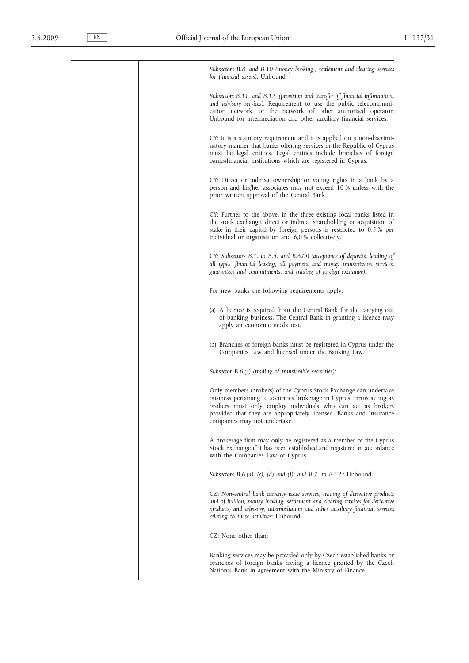|  | Subsectors B.8. and B.10 (money broking., settlement and clearing services<br>for financial assets): Unbound.                                                                                                                                                                                                    |
|--|------------------------------------------------------------------------------------------------------------------------------------------------------------------------------------------------------------------------------------------------------------------------------------------------------------------|
|  | Subsectors B.11. and B.12. (provision and transfer of financial information,<br>and advisory services): Requirement to use the public telecommuni-<br>cation network, or the network of other authorised operator.<br>Unbound for intermediation and other auxiliary financial services.                         |
|  | CY: It is a statutory requirement and it is applied on a non-discrimi-<br>natory manner that banks offering services in the Republic of Cyprus<br>must be legal entities. Legal entities include branches of foreign<br>banks/financial institutions which are registered in Cyprus.                             |
|  | CY: Direct or indirect ownership or voting rights in a bank by a<br>person and his/her associates may not exceed 10 % unless with the<br>prior written approval of the Central Bank.                                                                                                                             |
|  | CY: Further to the above, in the three existing local banks listed in<br>the stock exchange, direct or indirect shareholding or acquisition of<br>stake in their capital by foreign persons is restricted to 0,5 % per<br>individual or organisation and 6,0 % collectively.                                     |
|  | $CY: Subsectors B.1. to B.5. and B.6.(b) (acceptance of deposits, lending of$<br>all types, financial leasing, all payment and money transmission services,<br>guarantees and commitments, and trading of foreign exchange):                                                                                     |
|  | For new banks the following requirements apply:                                                                                                                                                                                                                                                                  |
|  | (a) A licence is required from the Central Bank for the carrying out<br>of banking business. The Central Bank in granting a licence may<br>apply an economic needs test.                                                                                                                                         |
|  | (b) Branches of foreign banks must be registered in Cyprus under the<br>Companies Law and licensed under the Banking Law.                                                                                                                                                                                        |
|  | Subsector B.6.(e) (trading of transferable securities):                                                                                                                                                                                                                                                          |
|  | Only members (brokers) of the Cyprus Stock Exchange can undertake<br>business pertaining to securities brokerage in Cyprus. Firms acting as<br>brokers must only employ individuals who can act as brokers<br>provided that they are appropriately licensed. Banks and Insurance<br>companies may not undertake. |
|  | A brokerage firm may only be registered as a member of the Cyprus<br>Stock Exchange if it has been established and registered in accordance<br>with the Companies Law of Cyprus.                                                                                                                                 |
|  | Subsectors B.6.(a), (c), (d) and (f), and B.7. to B.12.: Unbound.                                                                                                                                                                                                                                                |
|  | CZ: Non-central bank currency issue services, trading of derivative products<br>and of bullion, money broking, settlement and clearing services for derivative<br>products, and advisory, intermediation and other auxiliary financial services<br>relating to these activities: Unbound.                        |
|  | CZ: None other than:                                                                                                                                                                                                                                                                                             |
|  | Banking services may be provided only by Czech established banks or<br>branches of foreign banks having a licence granted by the Czech<br>National Bank in agreement with the Ministry of Finance.                                                                                                               |
|  |                                                                                                                                                                                                                                                                                                                  |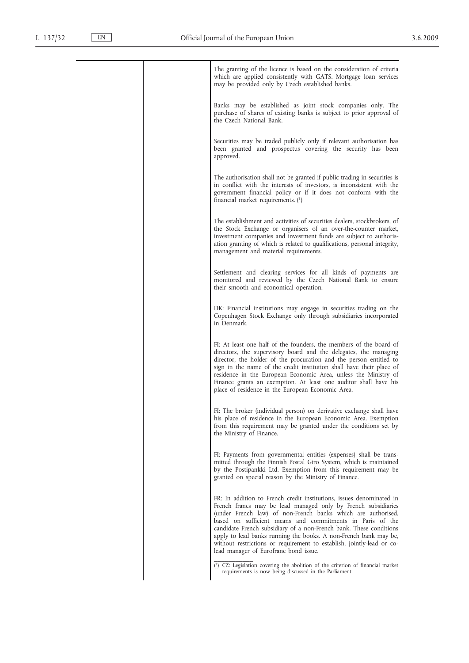| The granting of the licence is based on the consideration of criteria<br>which are applied consistently with GATS. Mortgage loan services<br>may be provided only by Czech established banks.                                                                                                                                                                                                                                                                                                                                  |
|--------------------------------------------------------------------------------------------------------------------------------------------------------------------------------------------------------------------------------------------------------------------------------------------------------------------------------------------------------------------------------------------------------------------------------------------------------------------------------------------------------------------------------|
| Banks may be established as joint stock companies only. The<br>purchase of shares of existing banks is subject to prior approval of<br>the Czech National Bank.                                                                                                                                                                                                                                                                                                                                                                |
| Securities may be traded publicly only if relevant authorisation has<br>been granted and prospectus covering the security has been<br>approved.                                                                                                                                                                                                                                                                                                                                                                                |
| The authorisation shall not be granted if public trading in securities is<br>in conflict with the interests of investors, is inconsistent with the<br>government financial policy or if it does not conform with the<br>financial market requirements. $(1)$                                                                                                                                                                                                                                                                   |
| The establishment and activities of securities dealers, stockbrokers, of<br>the Stock Exchange or organisers of an over-the-counter market,<br>investment companies and investment funds are subject to authoris-<br>ation granting of which is related to qualifications, personal integrity,<br>management and material requirements.                                                                                                                                                                                        |
| Settlement and clearing services for all kinds of payments are<br>monitored and reviewed by the Czech National Bank to ensure<br>their smooth and economical operation.                                                                                                                                                                                                                                                                                                                                                        |
| DK: Financial institutions may engage in securities trading on the<br>Copenhagen Stock Exchange only through subsidiaries incorporated<br>in Denmark.                                                                                                                                                                                                                                                                                                                                                                          |
| FI: At least one half of the founders, the members of the board of<br>directors, the supervisory board and the delegates, the managing<br>director, the holder of the procuration and the person entitled to<br>sign in the name of the credit institution shall have their place of<br>residence in the European Economic Area, unless the Ministry of<br>Finance grants an exemption. At least one auditor shall have his<br>place of residence in the European Economic Area.                                               |
| FI: The broker (individual person) on derivative exchange shall have<br>his place of residence in the European Economic Area. Exemption<br>from this requirement may be granted under the conditions set by<br>the Ministry of Finance.                                                                                                                                                                                                                                                                                        |
| FI: Payments from governmental entities (expenses) shall be trans-<br>mitted through the Finnish Postal Giro System, which is maintained<br>by the Postipankki Ltd. Exemption from this requirement may be<br>granted on special reason by the Ministry of Finance.                                                                                                                                                                                                                                                            |
| FR: In addition to French credit institutions, issues denominated in<br>French francs may be lead managed only by French subsidiaries<br>(under French law) of non-French banks which are authorised,<br>based on sufficient means and commitments in Paris of the<br>candidate French subsidiary of a non-French bank. These conditions<br>apply to lead banks running the books. A non-French bank may be,<br>without restrictions or requirement to establish, jointly-lead or co-<br>lead manager of Eurofranc bond issue. |
| $(1)$ CZ: Legislation covering the abolition of the criterion of financial market<br>requirements is now being discussed in the Parliament.                                                                                                                                                                                                                                                                                                                                                                                    |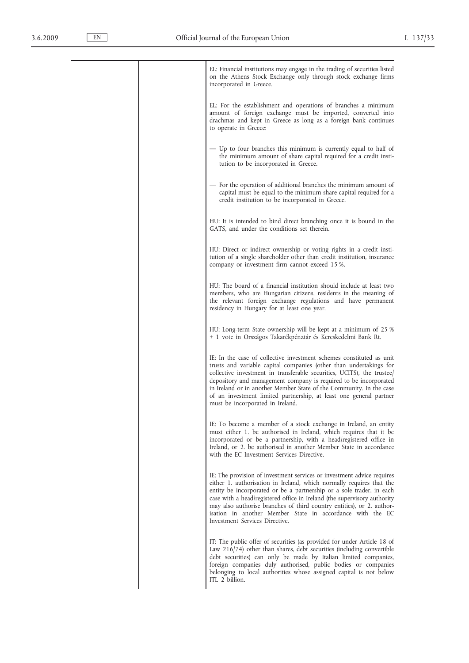| EL: Financial institutions may engage in the trading of securities listed<br>on the Athens Stock Exchange only through stock exchange firms<br>incorporated in Greece.                                                                                                                                                                                                                                                                                                     |
|----------------------------------------------------------------------------------------------------------------------------------------------------------------------------------------------------------------------------------------------------------------------------------------------------------------------------------------------------------------------------------------------------------------------------------------------------------------------------|
| EL: For the establishment and operations of branches a minimum<br>amount of foreign exchange must be imported, converted into<br>drachmas and kept in Greece as long as a foreign bank continues<br>to operate in Greece:                                                                                                                                                                                                                                                  |
| — Up to four branches this minimum is currently equal to half of<br>the minimum amount of share capital required for a credit insti-<br>tution to be incorporated in Greece.                                                                                                                                                                                                                                                                                               |
| — For the operation of additional branches the minimum amount of<br>capital must be equal to the minimum share capital required for a<br>credit institution to be incorporated in Greece.                                                                                                                                                                                                                                                                                  |
| HU: It is intended to bind direct branching once it is bound in the<br>GATS, and under the conditions set therein.                                                                                                                                                                                                                                                                                                                                                         |
| HU: Direct or indirect ownership or voting rights in a credit insti-<br>tution of a single shareholder other than credit institution, insurance<br>company or investment firm cannot exceed 15 %.                                                                                                                                                                                                                                                                          |
| HU: The board of a financial institution should include at least two<br>members, who are Hungarian citizens, residents in the meaning of<br>the relevant foreign exchange regulations and have permanent<br>residency in Hungary for at least one year.                                                                                                                                                                                                                    |
| HU: Long-term State ownership will be kept at a minimum of 25 %<br>+ 1 vote in Országos Takarékpénztár és Kereskedelmi Bank Rt.                                                                                                                                                                                                                                                                                                                                            |
| IE: In the case of collective investment schemes constituted as unit<br>trusts and variable capital companies (other than undertakings for<br>collective investment in transferable securities, UCITS), the trustee<br>depository and management company is required to be incorporated<br>in Ireland or in another Member State of the Community. In the case<br>of an investment limited partnership, at least one general partner<br>must be incorporated in Ireland.   |
| IE: To become a member of a stock exchange in Ireland, an entity<br>must either 1. be authorised in Ireland, which requires that it be<br>incorporated or be a partnership, with a head/registered office in<br>Ireland, or 2, be authorised in another Member State in accordance<br>with the EC Investment Services Directive.                                                                                                                                           |
| IE: The provision of investment services or investment advice requires<br>either 1. authorisation in Ireland, which normally requires that the<br>entity be incorporated or be a partnership or a sole trader, in each<br>case with a head/registered office in Ireland (the supervisory authority<br>may also authorise branches of third country entities), or 2. author-<br>isation in another Member State in accordance with the EC<br>Investment Services Directive. |
| IT: The public offer of securities (as provided for under Article 18 of<br>Law 216/74) other than shares, debt securities (including convertible<br>debt securities) can only be made by Italian limited companies,<br>foreign companies duly authorised, public bodies or companies<br>belonging to local authorities whose assigned capital is not below<br>ITL 2 billion.                                                                                               |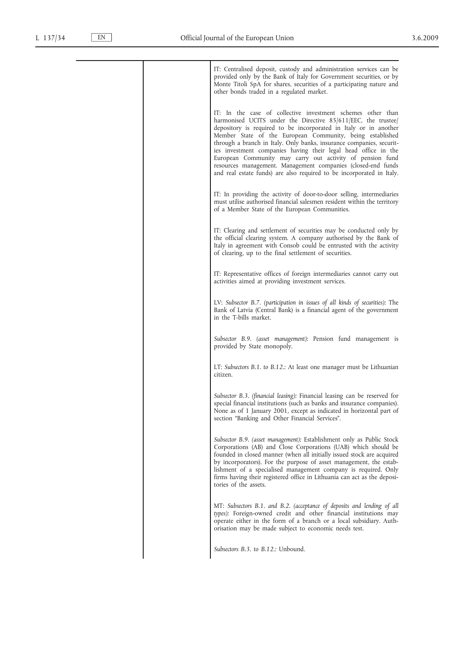| IT: Centralised deposit, custody and administration services can be<br>provided only by the Bank of Italy for Government securities, or by<br>Monte Titoli SpA for shares, securities of a participating nature and<br>other bonds traded in a regulated market.                                                                                                                                                                                                                                                                                                                                              |
|---------------------------------------------------------------------------------------------------------------------------------------------------------------------------------------------------------------------------------------------------------------------------------------------------------------------------------------------------------------------------------------------------------------------------------------------------------------------------------------------------------------------------------------------------------------------------------------------------------------|
| IT: In the case of collective investment schemes other than<br>harmonised UCITS under the Directive 85/611/EEC, the trustee/<br>depository is required to be incorporated in Italy or in another<br>Member State of the European Community, being established<br>through a branch in Italy. Only banks, insurance companies, securit-<br>ies investment companies having their legal head office in the<br>European Community may carry out activity of pension fund<br>resources management. Management companies (closed-end funds<br>and real estate funds) are also required to be incorporated in Italy. |
| IT: In providing the activity of door-to-door selling, intermediaries<br>must utilise authorised financial salesmen resident within the territory<br>of a Member State of the European Communities.                                                                                                                                                                                                                                                                                                                                                                                                           |
| IT: Clearing and settlement of securities may be conducted only by<br>the official clearing system. A company authorised by the Bank of<br>Italy in agreement with Consob could be entrusted with the activity<br>of clearing, up to the final settlement of securities.                                                                                                                                                                                                                                                                                                                                      |
| IT: Representative offices of foreign intermediaries cannot carry out<br>activities aimed at providing investment services.                                                                                                                                                                                                                                                                                                                                                                                                                                                                                   |
| LV: Subsector B.7. (participation in issues of all kinds of securities): The<br>Bank of Latvia (Central Bank) is a financial agent of the government<br>in the T-bills market.                                                                                                                                                                                                                                                                                                                                                                                                                                |
| Subsector B.9. (asset management): Pension fund management is<br>provided by State monopoly.                                                                                                                                                                                                                                                                                                                                                                                                                                                                                                                  |
| LT: Subsectors B.1. to B.12.: At least one manager must be Lithuanian<br>citizen.                                                                                                                                                                                                                                                                                                                                                                                                                                                                                                                             |
| Subsector B.3. (financial leasing): Financial leasing can be reserved for<br>special financial institutions (such as banks and insurance companies).<br>None as of 1 January 2001, except as indicated in horizontal part of<br>section "Banking and Other Financial Services".                                                                                                                                                                                                                                                                                                                               |
| Subsector B.9. (asset management): Establishment only as Public Stock<br>Corporations (AB) and Close Corporations (UAB) which should be<br>founded in closed manner (when all initially issued stock are acquired<br>by incorporators). For the purpose of asset management, the estab-<br>lishment of a specialised management company is required. Only<br>firms having their registered office in Lithuania can act as the deposi-<br>tories of the assets.                                                                                                                                                |
| MT: Subsectors B.1. and B.2. (acceptance of deposits and lending of all<br>types): Foreign-owned credit and other financial institutions may<br>operate either in the form of a branch or a local subsidiary. Auth-<br>orisation may be made subject to economic needs test.                                                                                                                                                                                                                                                                                                                                  |
| Subsectors B.3. to B.12.: Unbound.                                                                                                                                                                                                                                                                                                                                                                                                                                                                                                                                                                            |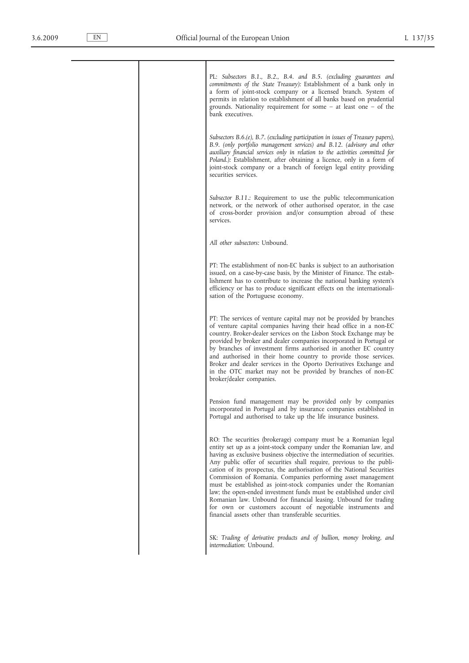|  | PL: Subsectors B.1., B.2., B.4. and B.5. (excluding guarantees and<br>commitments of the State Treasury): Establishment of a bank only in<br>a form of joint-stock company or a licensed branch. System of<br>permits in relation to establishment of all banks based on prudential<br>grounds. Nationality requirement for some $-$ at least one $-$ of the<br>bank executives.                                                                                                                                                                                                                                                                                                                                                                                         |
|--|--------------------------------------------------------------------------------------------------------------------------------------------------------------------------------------------------------------------------------------------------------------------------------------------------------------------------------------------------------------------------------------------------------------------------------------------------------------------------------------------------------------------------------------------------------------------------------------------------------------------------------------------------------------------------------------------------------------------------------------------------------------------------|
|  | Subsectors $B.6.(e)$ , $B.7.$ (excluding participation in issues of Treasury papers),<br>B.9. (only portfolio management services) and B.12. (advisory and other<br>auxiliary financial services only in relation to the activities committed for<br>Poland.): Establishment, after obtaining a licence, only in a form of<br>joint-stock company or a branch of foreign legal entity providing<br>securities services.                                                                                                                                                                                                                                                                                                                                                  |
|  | Subsector B.11.: Requirement to use the public telecommunication<br>network, or the network of other authorised operator, in the case<br>of cross-border provision and/or consumption abroad of these<br>services.                                                                                                                                                                                                                                                                                                                                                                                                                                                                                                                                                       |
|  | All other subsectors: Unbound.                                                                                                                                                                                                                                                                                                                                                                                                                                                                                                                                                                                                                                                                                                                                           |
|  | PT: The establishment of non-EC banks is subject to an authorisation<br>issued, on a case-by-case basis, by the Minister of Finance. The estab-<br>lishment has to contribute to increase the national banking system's<br>efficiency or has to produce significant effects on the internationali-<br>sation of the Portuguese economy.                                                                                                                                                                                                                                                                                                                                                                                                                                  |
|  | PT: The services of venture capital may not be provided by branches<br>of venture capital companies having their head office in a non-EC<br>country. Broker-dealer services on the Lisbon Stock Exchange may be<br>provided by broker and dealer companies incorporated in Portugal or<br>by branches of investment firms authorised in another EC country<br>and authorised in their home country to provide those services.<br>Broker and dealer services in the Oporto Derivatives Exchange and<br>in the OTC market may not be provided by branches of non-EC<br>broker/dealer companies.                                                                                                                                                                            |
|  | Pension fund management may be provided only by companies<br>incorporated in Portugal and by insurance companies established in<br>Portugal and authorised to take up the life insurance business.                                                                                                                                                                                                                                                                                                                                                                                                                                                                                                                                                                       |
|  | RO: The securities (brokerage) company must be a Romanian legal<br>entity set up as a joint-stock company under the Romanian law, and<br>having as exclusive business objective the intermediation of securities.<br>Any public offer of securities shall require, previous to the publi-<br>cation of its prospectus, the authorisation of the National Securities<br>Commission of Romania. Companies performing asset management<br>must be established as joint-stock companies under the Romanian<br>law; the open-ended investment funds must be established under civil<br>Romanian law. Unbound for financial leasing. Unbound for trading<br>for own or customers account of negotiable instruments and<br>financial assets other than transferable securities. |
|  | SK: Trading of derivative products and of bullion, money broking, and<br>intermediation: Unbound.                                                                                                                                                                                                                                                                                                                                                                                                                                                                                                                                                                                                                                                                        |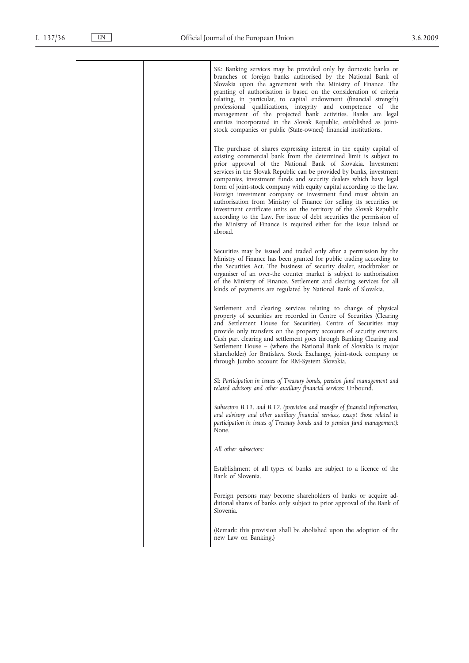| SK: Banking services may be provided only by domestic banks or<br>branches of foreign banks authorised by the National Bank of<br>Slovakia upon the agreement with the Ministry of Finance. The<br>granting of authorisation is based on the consideration of criteria<br>relating, in particular, to capital endowment (financial strength)<br>professional qualifications, integrity and competence of the<br>management of the projected bank activities. Banks are legal<br>entities incorporated in the Slovak Republic, established as joint-<br>stock companies or public (State-owned) financial institutions.                                                                                                                                                                                |
|-------------------------------------------------------------------------------------------------------------------------------------------------------------------------------------------------------------------------------------------------------------------------------------------------------------------------------------------------------------------------------------------------------------------------------------------------------------------------------------------------------------------------------------------------------------------------------------------------------------------------------------------------------------------------------------------------------------------------------------------------------------------------------------------------------|
| The purchase of shares expressing interest in the equity capital of<br>existing commercial bank from the determined limit is subject to<br>prior approval of the National Bank of Slovakia. Investment<br>services in the Slovak Republic can be provided by banks, investment<br>companies, investment funds and security dealers which have legal<br>form of joint-stock company with equity capital according to the law.<br>Foreign investment company or investment fund must obtain an<br>authorisation from Ministry of Finance for selling its securities or<br>investment certificate units on the territory of the Slovak Republic<br>according to the Law. For issue of debt securities the permission of<br>the Ministry of Finance is required either for the issue inland or<br>abroad. |
| Securities may be issued and traded only after a permission by the<br>Ministry of Finance has been granted for public trading according to<br>the Securities Act. The business of security dealer, stockbroker or<br>organiser of an over-the counter market is subject to authorisation<br>of the Ministry of Finance. Settlement and clearing services for all<br>kinds of payments are regulated by National Bank of Slovakia.                                                                                                                                                                                                                                                                                                                                                                     |
| Settlement and clearing services relating to change of physical<br>property of securities are recorded in Centre of Securities (Clearing<br>and Settlement House for Securities). Centre of Securities may<br>provide only transfers on the property accounts of security owners.<br>Cash part clearing and settlement goes through Banking Clearing and<br>Settlement House – (where the National Bank of Slovakia is major<br>shareholder) for Bratislava Stock Exchange, joint-stock company or<br>through Jumbo account for RM-System Slovakia.                                                                                                                                                                                                                                                   |
| SI: Participation in issues of Treasury bonds, pension fund management and<br>related advisory and other auxiliary financial services: Unbound.                                                                                                                                                                                                                                                                                                                                                                                                                                                                                                                                                                                                                                                       |
| Subsectors B.11. and B.12. (provision and transfer of financial information,<br>and advisory and other auxiliary financial services, except those related to<br>participation in issues of Treasury bonds and to pension fund management):<br>None.                                                                                                                                                                                                                                                                                                                                                                                                                                                                                                                                                   |
| All other subsectors:                                                                                                                                                                                                                                                                                                                                                                                                                                                                                                                                                                                                                                                                                                                                                                                 |
| Establishment of all types of banks are subject to a licence of the<br>Bank of Slovenia.                                                                                                                                                                                                                                                                                                                                                                                                                                                                                                                                                                                                                                                                                                              |
| Foreign persons may become shareholders of banks or acquire ad-<br>ditional shares of banks only subject to prior approval of the Bank of<br>Slovenia.                                                                                                                                                                                                                                                                                                                                                                                                                                                                                                                                                                                                                                                |
| (Remark: this provision shall be abolished upon the adoption of the<br>new Law on Banking.)                                                                                                                                                                                                                                                                                                                                                                                                                                                                                                                                                                                                                                                                                                           |
|                                                                                                                                                                                                                                                                                                                                                                                                                                                                                                                                                                                                                                                                                                                                                                                                       |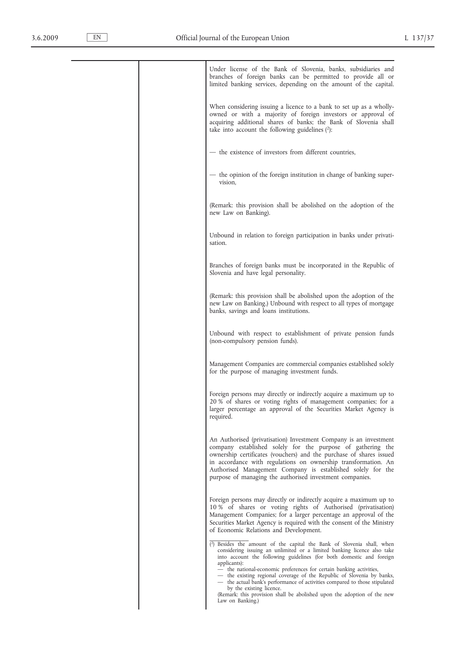| Under license of the Bank of Slovenia, banks, subsidiaries and<br>branches of foreign banks can be permitted to provide all or<br>limited banking services, depending on the amount of the capital.                                                                                                                                                                                                                                                                                                                                                                                                   |
|-------------------------------------------------------------------------------------------------------------------------------------------------------------------------------------------------------------------------------------------------------------------------------------------------------------------------------------------------------------------------------------------------------------------------------------------------------------------------------------------------------------------------------------------------------------------------------------------------------|
| When considering issuing a licence to a bank to set up as a wholly-<br>owned or with a majority of foreign investors or approval of<br>acquiring additional shares of banks; the Bank of Slovenia shall<br>take into account the following guidelines $(2)$ :                                                                                                                                                                                                                                                                                                                                         |
| - the existence of investors from different countries,                                                                                                                                                                                                                                                                                                                                                                                                                                                                                                                                                |
| — the opinion of the foreign institution in change of banking super-<br>vision,                                                                                                                                                                                                                                                                                                                                                                                                                                                                                                                       |
| (Remark: this provision shall be abolished on the adoption of the<br>new Law on Banking).                                                                                                                                                                                                                                                                                                                                                                                                                                                                                                             |
| Unbound in relation to foreign participation in banks under privati-<br>sation.                                                                                                                                                                                                                                                                                                                                                                                                                                                                                                                       |
| Branches of foreign banks must be incorporated in the Republic of<br>Slovenia and have legal personality.                                                                                                                                                                                                                                                                                                                                                                                                                                                                                             |
| (Remark: this provision shall be abolished upon the adoption of the<br>new Law on Banking.) Unbound with respect to all types of mortgage<br>banks, savings and loans institutions.                                                                                                                                                                                                                                                                                                                                                                                                                   |
| Unbound with respect to establishment of private pension funds<br>(non-compulsory pension funds).                                                                                                                                                                                                                                                                                                                                                                                                                                                                                                     |
| Management Companies are commercial companies established solely<br>for the purpose of managing investment funds.                                                                                                                                                                                                                                                                                                                                                                                                                                                                                     |
| Foreign persons may directly or indirectly acquire a maximum up to<br>20 % of shares or voting rights of management companies; for a<br>larger percentage an approval of the Securities Market Agency is<br>required.                                                                                                                                                                                                                                                                                                                                                                                 |
| An Authorised (privatisation) Investment Company is an investment<br>company established solely for the purpose of gathering the<br>ownership certificates (vouchers) and the purchase of shares issued<br>in accordance with regulations on ownership transformation. An<br>Authorised Management Company is established solely for the<br>purpose of managing the authorised investment companies.                                                                                                                                                                                                  |
| Foreign persons may directly or indirectly acquire a maximum up to<br>10 % of shares or voting rights of Authorised (privatisation)<br>Management Companies; for a larger percentage an approval of the<br>Securities Market Agency is required with the consent of the Ministry<br>of Economic Relations and Development.                                                                                                                                                                                                                                                                            |
| $(2)$ Besides the amount of the capital the Bank of Slovenia shall, when<br>considering issuing an unlimited or a limited banking licence also take<br>into account the following guidelines (for both domestic and foreign<br>applicants):<br>- the national-economic preferences for certain banking activities,<br>- the existing regional coverage of the Republic of Slovenia by banks,<br>— the actual bank's performance of activities compared to those stipulated<br>by the existing licence.<br>(Remark: this provision shall be abolished upon the adoption of the new<br>Law on Banking.) |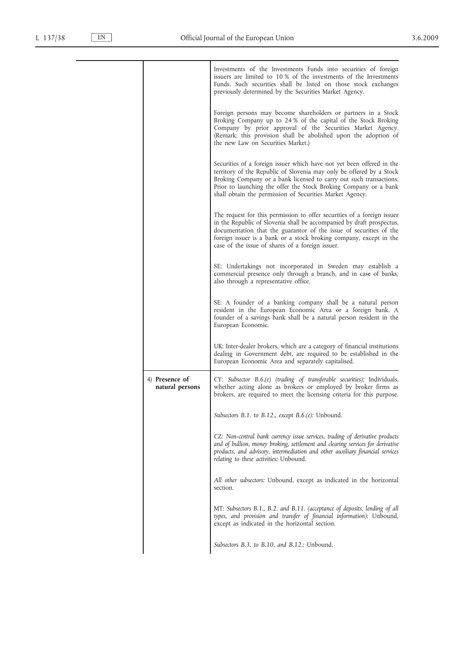|                                   | Investments of the Investments Funds into securities of foreign<br>issuers are limited to 10% of the investments of the Investments<br>Funds. Such securities shall be listed on those stock exchanges<br>previously determined by the Securities Market Agency.                                                                                    |
|-----------------------------------|-----------------------------------------------------------------------------------------------------------------------------------------------------------------------------------------------------------------------------------------------------------------------------------------------------------------------------------------------------|
|                                   | Foreign persons may become shareholders or partners in a Stock<br>Broking Company up to 24 % of the capital of the Stock Broking<br>Company by prior approval of the Securities Market Agency.<br>(Remark: this provision shall be abolished upon the adoption of<br>the new Law on Securities Market.)                                             |
|                                   | Securities of a foreign issuer which have not yet been offered in the<br>territory of the Republic of Slovenia may only be offered by a Stock<br>Broking Company or a bank licensed to carry out such transactions.<br>Prior to launching the offer the Stock Broking Company or a bank<br>shall obtain the permission of Securities Market Agency. |
|                                   | The request for this permission to offer securities of a foreign issuer<br>in the Republic of Slovenia shall be accompanied by draft prospectus,<br>documentation that the guarantor of the issue of securities of the<br>foreign issuer is a bank or a stock broking company, except in the<br>case of the issue of shares of a foreign issuer.    |
|                                   | SE: Undertakings not incorporated in Sweden may establish a<br>commercial presence only through a branch, and in case of banks,<br>also through a representative office.                                                                                                                                                                            |
|                                   | SE: A founder of a banking company shall be a natural person<br>resident in the European Economic Area or a foreign bank. A<br>founder of a savings bank shall be a natural person resident in the<br>European Economic.                                                                                                                            |
|                                   | UK: Inter-dealer brokers, which are a category of financial institutions<br>dealing in Government debt, are required to be established in the<br>European Economic Area and separately capitalised.                                                                                                                                                 |
| 4) Presence of<br>natural persons | CY: Subsector B.6.(e) (trading of transferable securities): Individuals,<br>whether acting alone as brokers or employed by broker firms as<br>brokers, are required to meet the licensing criteria for this purpose.                                                                                                                                |
|                                   | Subsectors B.1. to B.12., except $B.6.(e)$ : Unbound.                                                                                                                                                                                                                                                                                               |
|                                   | CZ: Non-central bank currency issue services, trading of derivative products<br>and of bullion, money broking, settlement and clearing services for derivative<br>products, and advisory, intermediation and other auxiliary financial services<br>relating to these activities: Unbound.                                                           |
|                                   | All other subsectors: Unbound, except as indicated in the horizontal<br>section.                                                                                                                                                                                                                                                                    |
|                                   | MT: Subsectors B.1., B.2. and B.11. (acceptance of deposits, lending of all<br>types, and provision and transfer of financial information): Unbound,<br>except as indicated in the horizontal section.                                                                                                                                              |
|                                   | Subsectors B.3. to B.10. and B.12.: Unbound.                                                                                                                                                                                                                                                                                                        |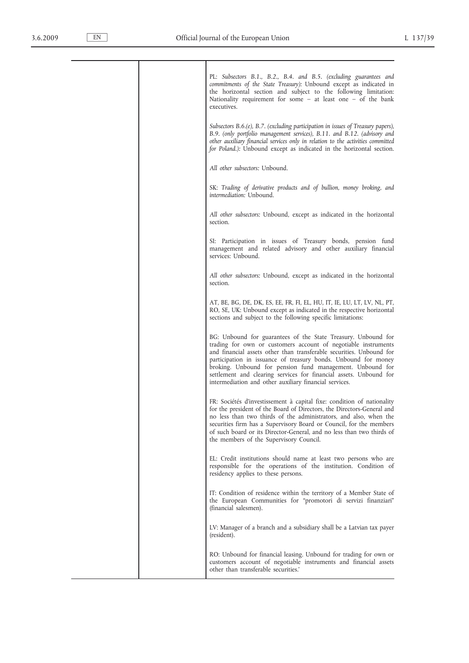|  | PL: Subsectors B.1., B.2., B.4. and B.5. (excluding guarantees and<br>commitments of the State Treasury): Unbound except as indicated in<br>the horizontal section and subject to the following limitation:<br>Nationality requirement for some $-$ at least one $-$ of the bank<br>executives.                                                                                                                                                                        |
|--|------------------------------------------------------------------------------------------------------------------------------------------------------------------------------------------------------------------------------------------------------------------------------------------------------------------------------------------------------------------------------------------------------------------------------------------------------------------------|
|  | Subsectors $B.6.(e)$ , $B.7.$ (excluding participation in issues of Treasury papers),<br>B.9. (only portfolio management services), B.11. and B.12. (advisory and<br>other auxiliary financial services only in relation to the activities committed<br>for Poland.): Unbound except as indicated in the horizontal section.                                                                                                                                           |
|  | All other subsectors: Unbound.                                                                                                                                                                                                                                                                                                                                                                                                                                         |
|  | SK: Trading of derivative products and of bullion, money broking, and<br>intermediation: Unbound.                                                                                                                                                                                                                                                                                                                                                                      |
|  | All other subsectors: Unbound, except as indicated in the horizontal<br>section.                                                                                                                                                                                                                                                                                                                                                                                       |
|  | SI: Participation in issues of Treasury bonds, pension fund<br>management and related advisory and other auxiliary financial<br>services: Unbound.                                                                                                                                                                                                                                                                                                                     |
|  | All other subsectors: Unbound, except as indicated in the horizontal<br>section.                                                                                                                                                                                                                                                                                                                                                                                       |
|  | AT, BE, BG, DE, DK, ES, EE, FR, FI, EL, HU, IT, IE, LU, LT, LV, NL, PT,<br>RO, SE, UK: Unbound except as indicated in the respective horizontal<br>sections and subject to the following specific limitations:                                                                                                                                                                                                                                                         |
|  | BG: Unbound for guarantees of the State Treasury. Unbound for<br>trading for own or customers account of negotiable instruments<br>and financial assets other than transferable securities. Unbound for<br>participation in issuance of treasury bonds. Unbound for money<br>broking. Unbound for pension fund management. Unbound for<br>settlement and clearing services for financial assets. Unbound for<br>intermediation and other auxiliary financial services. |
|  | FR: Sociétés d'investissement à capital fixe: condition of nationality<br>for the president of the Board of Directors, the Directors-General and<br>no less than two thirds of the administrators, and also, when the<br>securities firm has a Supervisory Board or Council, for the members<br>of such board or its Director-General, and no less than two thirds of<br>the members of the Supervisory Council.                                                       |
|  | EL: Credit institutions should name at least two persons who are<br>responsible for the operations of the institution. Condition of<br>residency applies to these persons.                                                                                                                                                                                                                                                                                             |
|  | IT: Condition of residence within the territory of a Member State of<br>the European Communities for "promotori di servizi finanziari"<br>(financial salesmen).                                                                                                                                                                                                                                                                                                        |
|  | LV: Manager of a branch and a subsidiary shall be a Latvian tax payer<br>(resident).                                                                                                                                                                                                                                                                                                                                                                                   |
|  | RO: Unbound for financial leasing. Unbound for trading for own or<br>customers account of negotiable instruments and financial assets<br>other than transferable securities.'                                                                                                                                                                                                                                                                                          |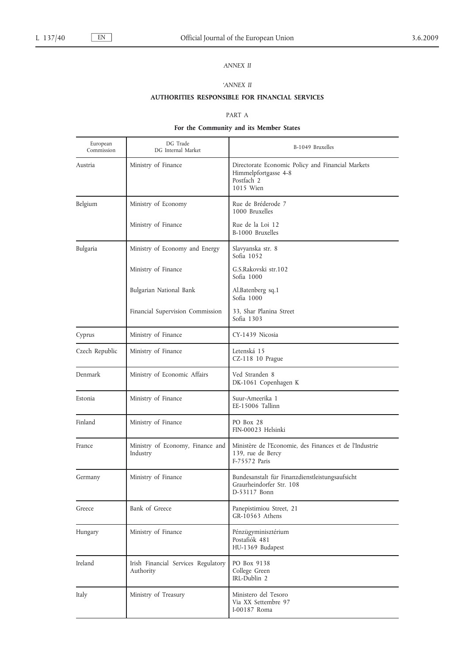# *ANNEX II*

### *'ANNEX II*

### **AUTHORITIES RESPONSIBLE FOR FINANCIAL SERVICES**

#### PART A

#### **For the Community and its Member States**

| European<br>Commission | DG Trade<br>DG Internal Market                   | B-1049 Bruxelles                                                                                     |
|------------------------|--------------------------------------------------|------------------------------------------------------------------------------------------------------|
| Austria                | Ministry of Finance                              | Directorate Economic Policy and Financial Markets<br>Himmelpfortgasse 4-8<br>Postfach 2<br>1015 Wien |
| Belgium                | Ministry of Economy                              | Rue de Bréderode 7<br>1000 Bruxelles                                                                 |
|                        | Ministry of Finance                              | Rue de la Loi 12<br>B-1000 Bruxelles                                                                 |
| Bulgaria               | Ministry of Economy and Energy                   | Slavyanska str. 8<br>Sofia 1052                                                                      |
|                        | Ministry of Finance                              | G.S.Rakovski str.102<br>Sofia 1000                                                                   |
|                        | Bulgarian National Bank                          | Al.Batenberg sq.1<br>Sofia 1000                                                                      |
|                        | Financial Supervision Commission                 | 33, Shar Planina Street<br>Sofia 1303                                                                |
| Cyprus                 | Ministry of Finance                              | CY-1439 Nicosia                                                                                      |
| Czech Republic         | Ministry of Finance                              | Letenská 15<br>CZ-118 10 Prague                                                                      |
| Denmark                | Ministry of Economic Affairs                     | Ved Stranden 8<br>DK-1061 Copenhagen K                                                               |
| Estonia                | Ministry of Finance                              | Suur-Ameerika 1<br>EE-15006 Tallinn                                                                  |
| Finland                | Ministry of Finance                              | PO Box 28<br>FIN-00023 Helsinki                                                                      |
| France                 | Ministry of Economy, Finance and<br>Industry     | Ministère de l'Economie, des Finances et de l'Industrie<br>139, rue de Bercy<br>F-75572 Paris        |
| Germany                | Ministry of Finance                              | Bundesanstalt für Finanzdienstleistungsaufsicht<br>Graurheindorfer Str. 108<br>D-53117 Bonn          |
| Greece                 | Bank of Greece                                   | Panepistimiou Street, 21<br>GR-10563 Athens                                                          |
| Hungary                | Ministry of Finance                              | Pénzügyminisztérium<br>Postafiók 481<br>HU-1369 Budapest                                             |
| Ireland                | Irish Financial Services Regulatory<br>Authority | PO Box 9138<br>College Green<br>IRL-Dublin 2                                                         |
| Italy                  | Ministry of Treasury                             | Ministero del Tesoro<br>Via XX Settembre 97<br>I-00187 Roma                                          |